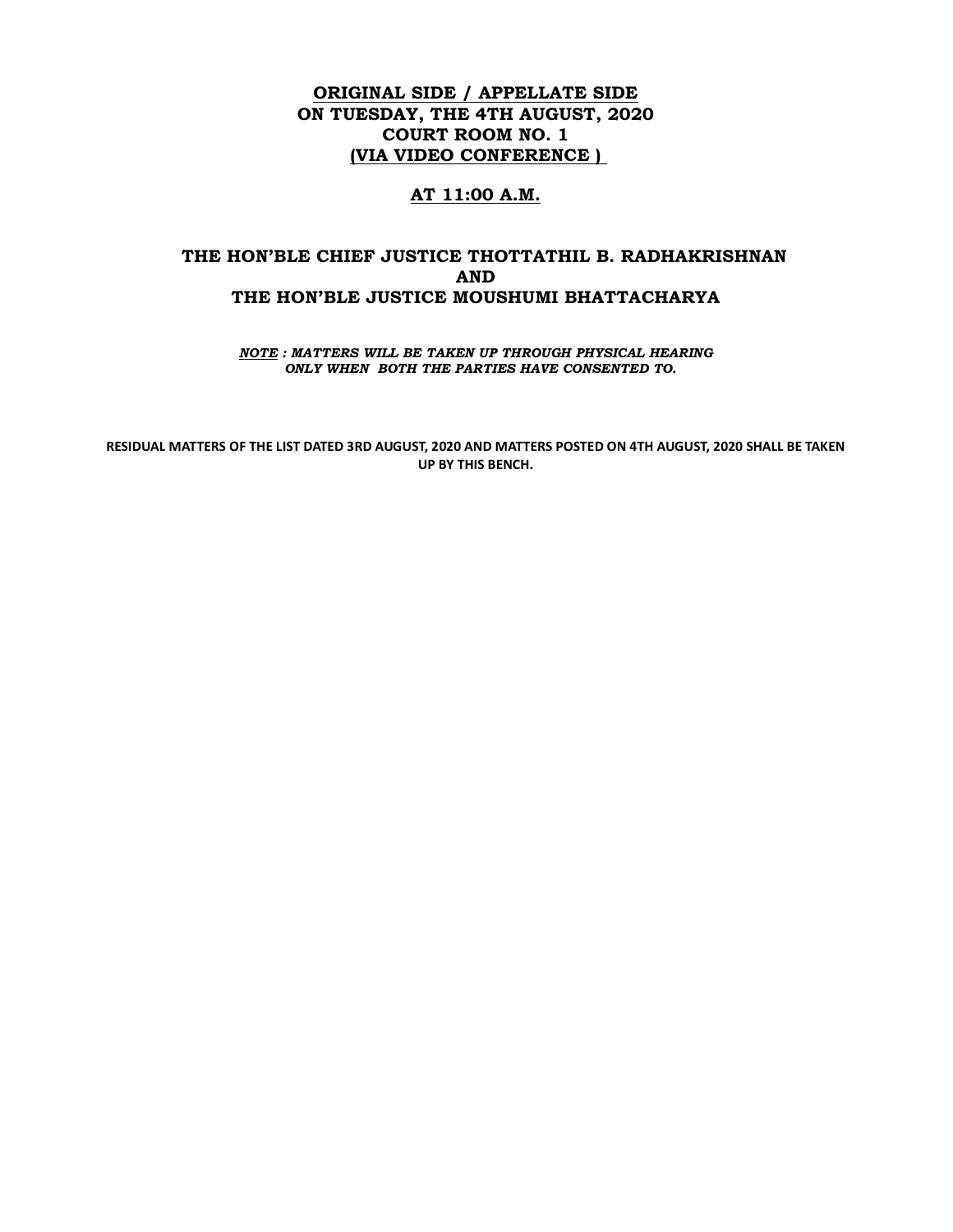# ORIGINAL SIDE / APPELLATE SIDE ON TUESDAY, THE 4TH AUGUST, 2020 COURT ROOM NO. 1 (VIA VIDEO CONFERENCE )

## AT 11:00 A.M.

# THE HON'BLE CHIEF JUSTICE THOTTATHIL B. RADHAKRISHNAN AND THE HON'BLE JUSTICE MOUSHUMI BHATTACHARYA

NOTE : MATTERS WILL BE TAKEN UP THROUGH PHYSICAL HEARING ONLY WHEN BOTH THE PARTIES HAVE CONSENTED TO.

RESIDUAL MATTERS OF THE LIST DATED 3RD AUGUST, 2020 AND MATTERS POSTED ON 4TH AUGUST, 2020 SHALL BE TAKEN UP BY THIS BENCH.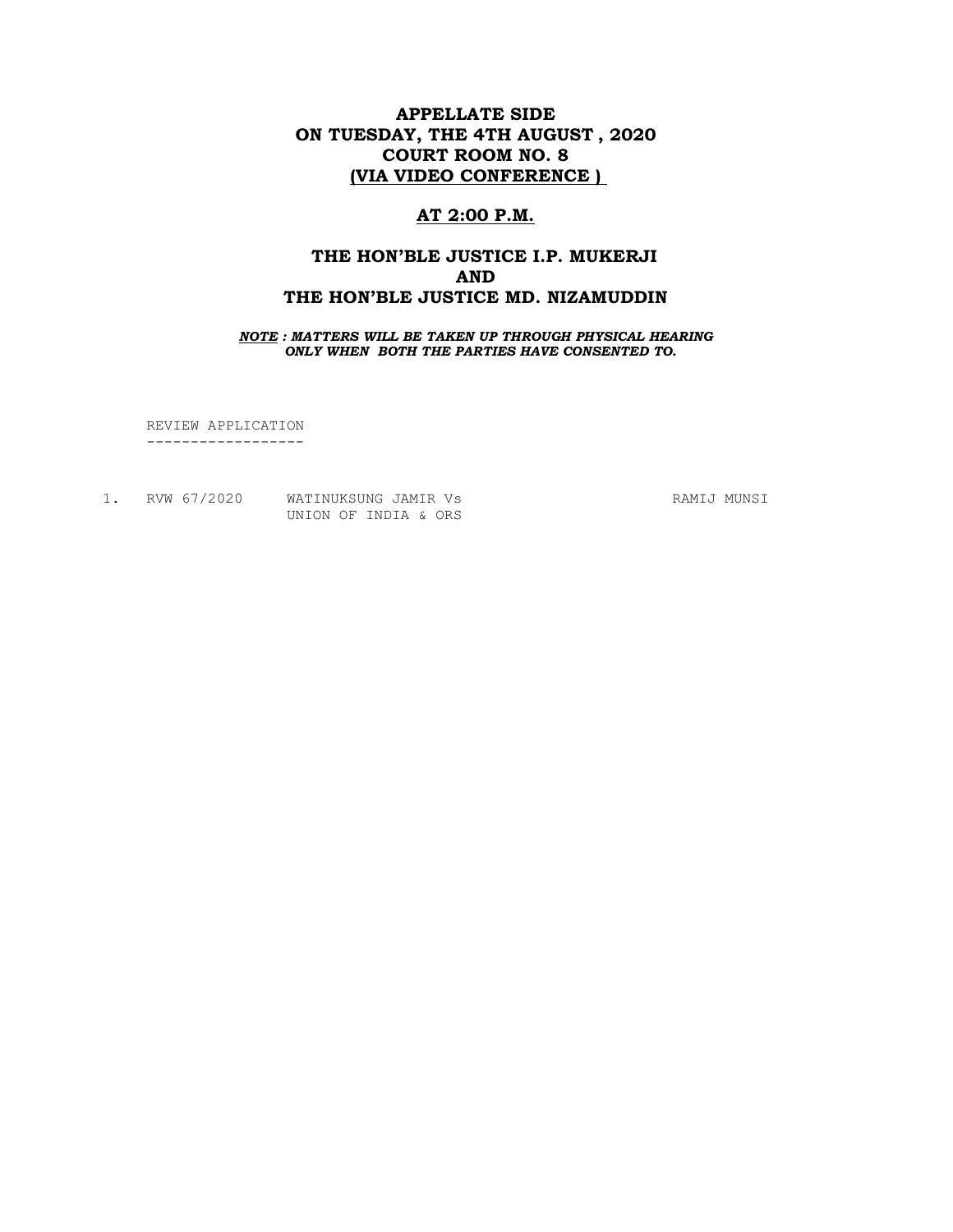# APPELLATE SIDE ON TUESDAY, THE 4TH AUGUST , 2020 COURT ROOM NO. 8 (VIA VIDEO CONFERENCE )

# AT 2:00 P.M.

# THE HON'BLE JUSTICE I.P. MUKERJI AND THE HON'BLE JUSTICE MD. NIZAMUDDIN

NOTE : MATTERS WILL BE TAKEN UP THROUGH PHYSICAL HEARING ONLY WHEN BOTH THE PARTIES HAVE CONSENTED TO.

 REVIEW APPLICATION ------------------

|  | RVW 67/2020 | WATINUKSUNG JAMIR Vs |  |  |  |
|--|-------------|----------------------|--|--|--|
|  |             | UNION OF INDIA & ORS |  |  |  |

RAMIJ MUNSI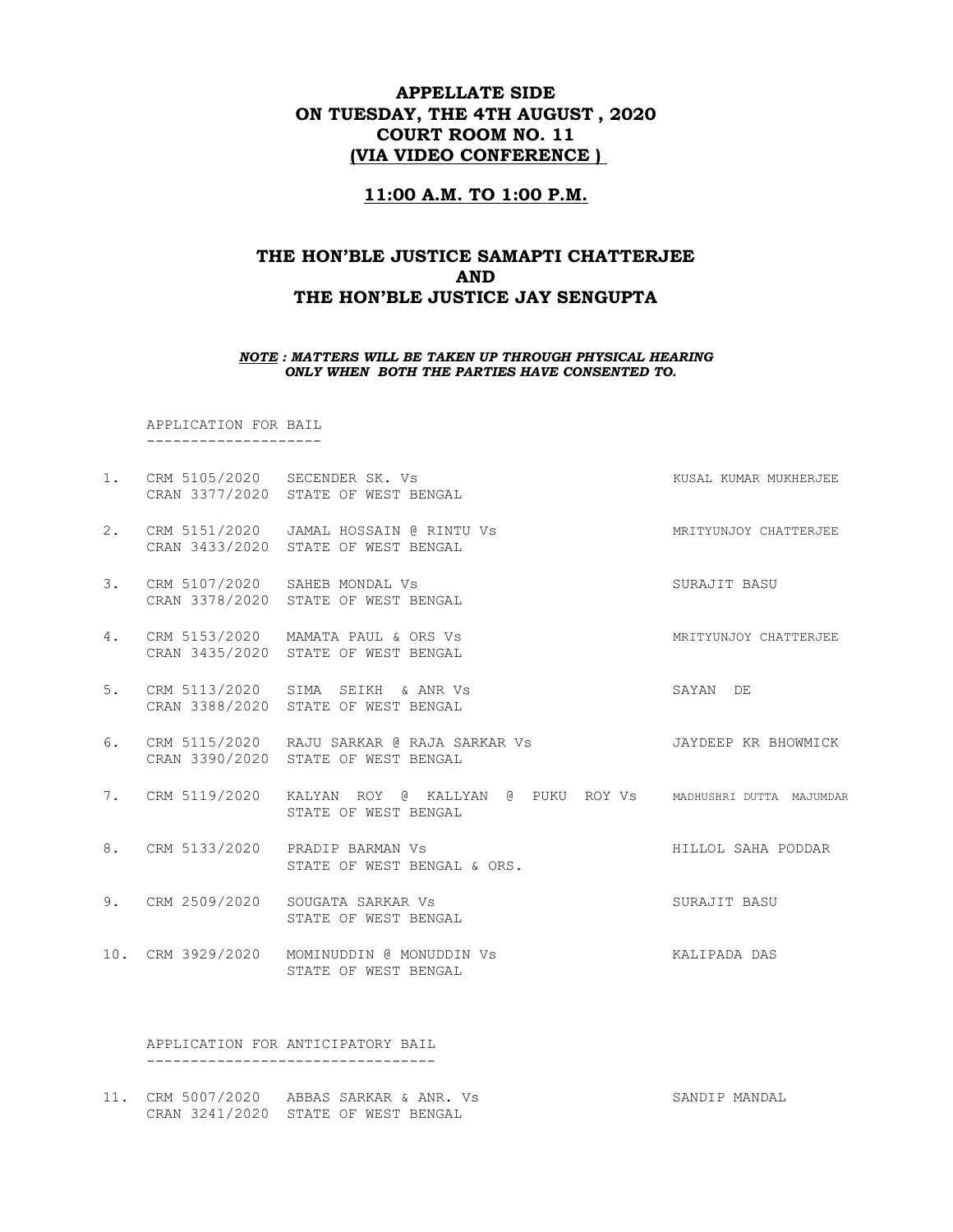# APPELLATE SIDE ON TUESDAY, THE 4TH AUGUST , 2020 COURT ROOM NO. 11 (VIA VIDEO CONFERENCE )

### 11:00 A.M. TO 1:00 P.M.

# THE HON'BLE JUSTICE SAMAPTI CHATTERJEE AND THE HON'BLE JUSTICE JAY SENGUPTA

#### NOTE : MATTERS WILL BE TAKEN UP THROUGH PHYSICAL HEARING ONLY WHEN BOTH THE PARTIES HAVE CONSENTED TO.

 APPLICATION FOR BAIL --------------------

- 1. CRM 5105/2020 SECENDER SK. Vs KUSAL KUMAR MUKHERJEE CRAN 3377/2020 STATE OF WEST BENGAL 2. CRM 5151/2020 JAMAL HOSSAIN @ RINTU Vs MRITYUNJOY CHATTERJEE CRAN 3433/2020 STATE OF WEST BENGAL
- 3. CRM 5107/2020 SAHEB MONDAL Vs SURAJIT BASU CRAN 3378/2020 STATE OF WEST BENGAL
- 4. CRM 5153/2020 MAMATA PAUL & ORS Vs MRITYUNJOY CHATTERJEE CRAN 3435/2020 STATE OF WEST BENGAL
- 5. CRM 5113/2020 SIMA SEIKH & ANR Vs SAYAN DE CRAN 3388/2020 STATE OF WEST BENGAL
- 6. CRM 5115/2020 RAJU SARKAR @ RAJA SARKAR Vs JAYDEEP KR BHOWMICK CRAN 3390/2020 STATE OF WEST BENGAL
- 7. CRM 5119/2020 KALYAN ROY @ KALLYAN @ PUKU ROY Vs MADHUSHRI DUTTA MAJUMDAR STATE OF WEST BENGAL
- 8. CRM 5133/2020 PRADIP BARMAN Vs **HILLOL SAHA PODDAR** STATE OF WEST BENGAL & ORS.
- 9. CRM 2509/2020 SOUGATA SARKAR Vs SURAJIT BASU STATE OF WEST BENGAL
- 10. CRM 3929/2020 MOMINUDDIN @ MONUDDIN Vs KALIPADA DAS STATE OF WEST BENGAL

 APPLICATION FOR ANTICIPATORY BAIL ---------------------------------

11. CRM 5007/2020 ABBAS SARKAR & ANR. Vs SANDIP MANDAL CRAN 3241/2020 STATE OF WEST BENGAL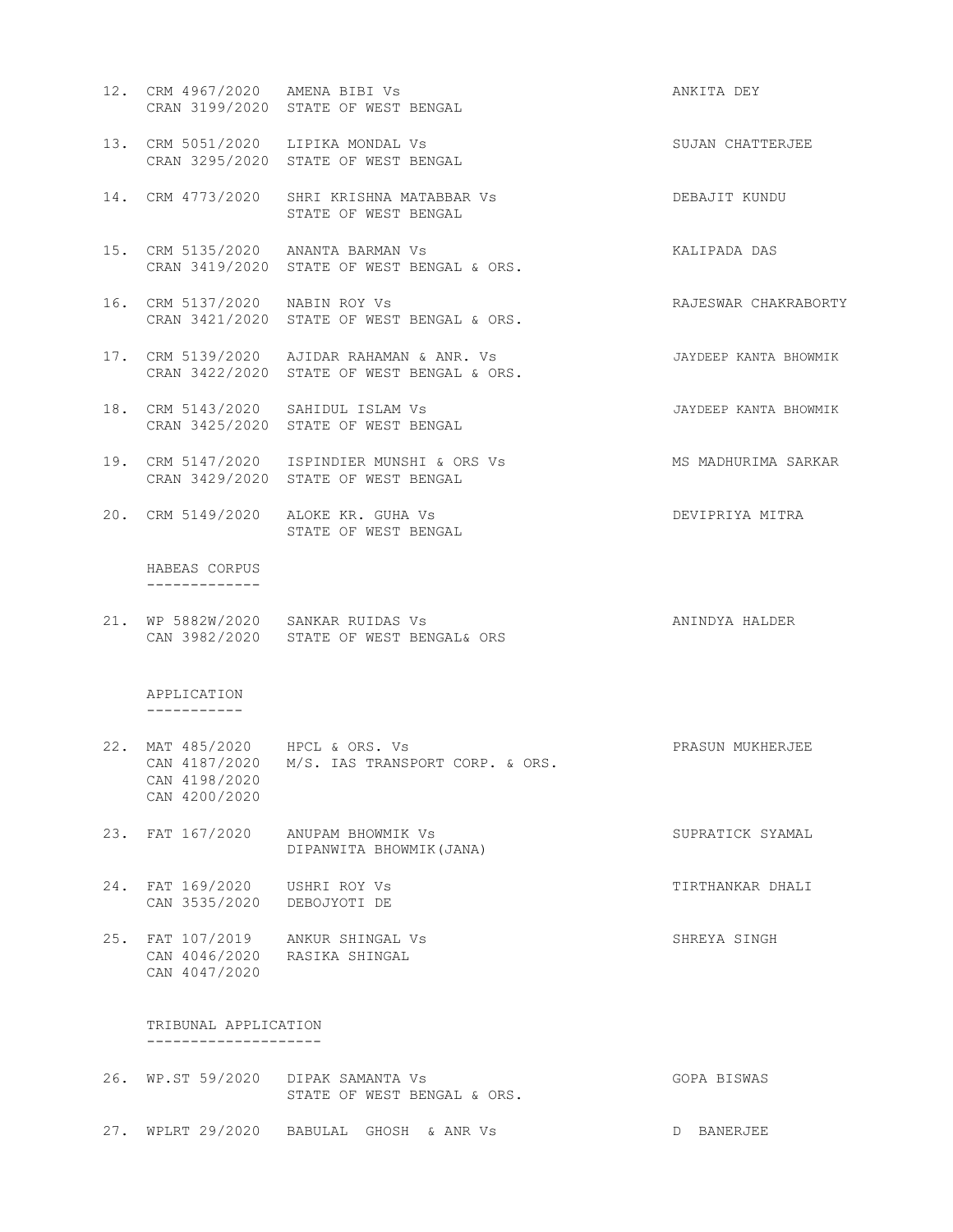- 12. CRM 4967/2020 AMENA BIBI Vs **ANKITA** DEY CRAN 3199/2020 STATE OF WEST BENGAL 13. CRM 5051/2020 LIPIKA MONDAL Vs SUJAN CHATTERJEE CRAN 3295/2020 STATE OF WEST BENGAL 14. CRM 4773/2020 SHRI KRISHNA MATABBAR Vs DEBAJIT KUNDU STATE OF WEST BENGAL 15. CRM 5135/2020 ANANTA BARMAN Vs KALIPADA DAS CRAN 3419/2020 STATE OF WEST BENGAL & ORS. 16. CRM 5137/2020 NABIN ROY Vs RAJESWAR CHAKRABORTY CRAN 3421/2020 STATE OF WEST BENGAL & ORS. 17. CRM 5139/2020 AJIDAR RAHAMAN & ANR. Vs JAYDEEP KANTA BHOWMIK CRAN 3422/2020 STATE OF WEST BENGAL & ORS. 18. CRM 5143/2020 SAHIDUL ISLAM Vs JAYDEEP KANTA BHOWMIK CRAN 3425/2020 STATE OF WEST BENGAL 19. CRM 5147/2020 ISPINDIER MUNSHI & ORS Vs MADHURIMA SARKAR CRAN 3429/2020 STATE OF WEST BENGAL 20. CRM 5149/2020 ALOKE KR. GUHA Vs DEVIPRIYA MITRA STATE OF WEST BENGAL HABEAS CORPUS ------------- 21. WP 5882W/2020 SANKAR RUIDAS Vs ANINDYA HALDER CAN 3982/2020 STATE OF WEST BENGAL& ORS APPLICATION ----------- 22. MAT 485/2020 HPCL & ORS. Vs PRASUN MUKHERJEE CAN 4187/2020 M/S. IAS TRANSPORT CORP. & ORS. CAN 4198/2020 CAN 4200/2020 23. FAT 167/2020 ANUPAM BHOWMIK Vs SUPRATICK SYAMAL DIPANWITA BHOWMIK(JANA) 24. FAT 169/2020 USHRI ROY Vs **TIRTHANKAR DHALI**  CAN 3535/2020 DEBOJYOTI DE 25. FAT 107/2019 ANKUR SHINGAL Vs SHREYA SINGH CAN 4046/2020 RASIKA SHINGAL CAN 4047/2020 TRIBUNAL APPLICATION --------------------
- 26. WP.ST 59/2020 DIPAK SAMANTA Vs GOPA BISWAS STATE OF WEST BENGAL & ORS. 27. WPLRT 29/2020 BABULAL GHOSH & ANR Vs D BANERJEE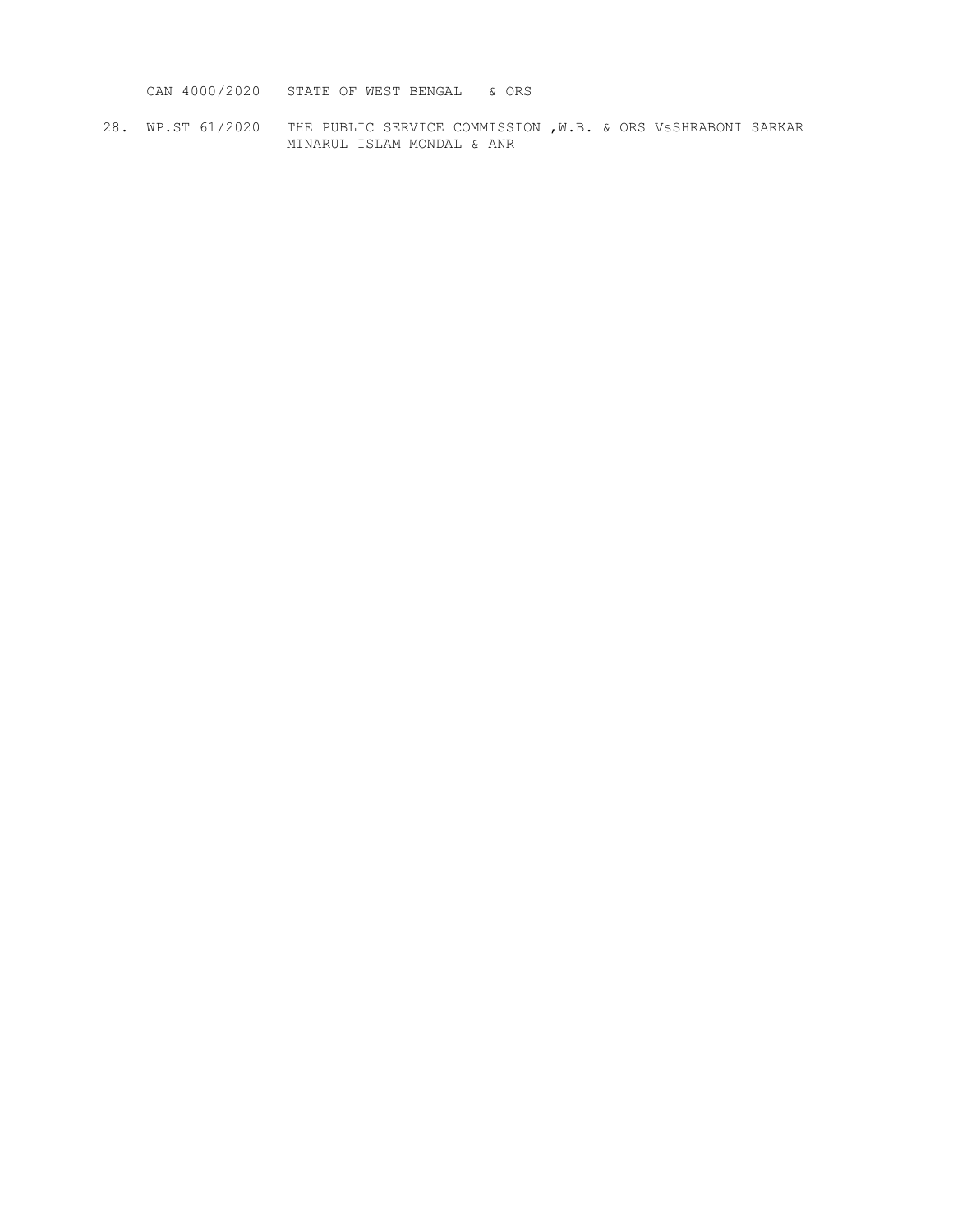CAN 4000/2020 STATE OF WEST BENGAL & ORS

28. WP.ST 61/2020 THE PUBLIC SERVICE COMMISSION ,W.B. & ORS VsSHRABONI SARKAR MINARUL ISLAM MONDAL & ANR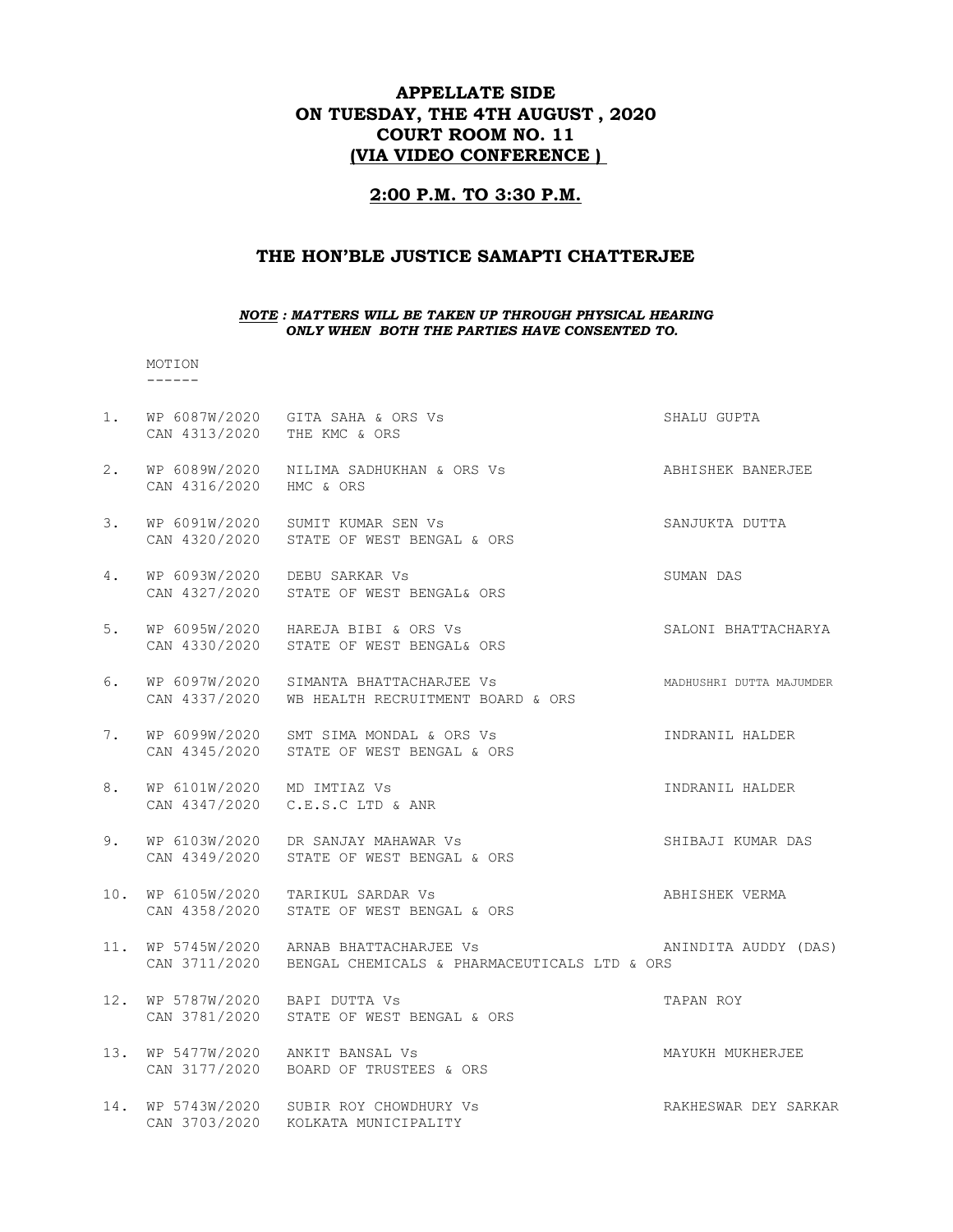# APPELLATE SIDE ON TUESDAY, THE 4TH AUGUST , 2020 COURT ROOM NO. 11 (VIA VIDEO CONFERENCE )

## 2:00 P.M. TO 3:30 P.M.

## THE HON'BLE JUSTICE SAMAPTI CHATTERJEE

#### NOTE : MATTERS WILL BE TAKEN UP THROUGH PHYSICAL HEARING ONLY WHEN BOTH THE PARTIES HAVE CONSENTED TO.

#### MOTION ------

| 1.  | CAN 4313/2020 THE KMC & ORS     | WP 6087W/2020 GITA SAHA & ORS Vs                                                                       | SHALU GUPTA              |
|-----|---------------------------------|--------------------------------------------------------------------------------------------------------|--------------------------|
| 2.  | CAN 4316/2020 HMC & ORS         |                                                                                                        |                          |
| 3.  |                                 | WP 6091W/2020 SUMIT KUMAR SEN Vs<br>CAN 4320/2020 STATE OF WEST BENGAL & ORS                           | SANJUKTA DUTTA           |
| 4.  |                                 | WP 6093W/2020 DEBU SARKAR Vs<br>CAN 4327/2020 STATE OF WEST BENGAL& ORS                                | SUMAN DAS                |
| 5.  |                                 | WP 6095W/2020 HAREJA BIBI & ORS Vs<br>CAN 4330/2020 STATE OF WEST BENGAL& ORS                          | SALONI BHATTACHARYA      |
| 6.  |                                 | WP 6097W/2020 SIMANTA BHATTACHARJEE Vs<br>CAN 4337/2020 WB HEALTH RECRUITMENT BOARD & ORS              | MADHUSHRI DUTTA MAJUMDER |
| 7.  |                                 | WP 6099W/2020 SMT SIMA MONDAL & ORS Vs<br>CAN 4345/2020 STATE OF WEST BENGAL & ORS                     | INDRANIL HALDER          |
| 8.  | WP 6101W/2020 MD IMTIAZ Vs      | CAN 4347/2020 C.E.S.C LTD & ANR                                                                        | INDRANIL HALDER          |
| 9.  |                                 | WP 6103W/2020 DR SANJAY MAHAWAR Vs<br>CAN 4349/2020 STATE OF WEST BENGAL & ORS                         | SHIBAJI KUMAR DAS        |
| 10. |                                 | WP 6105W/2020 TARIKUL SARDAR Vs<br>CAN 4358/2020 STATE OF WEST BENGAL & ORS                            | ABHISHEK VERMA           |
|     |                                 | 11. WP 5745W/2020 ARNAB BHATTACHARJEE Vs<br>CAN 3711/2020 BENGAL CHEMICALS & PHARMACEUTICALS LTD & ORS | ANINDITA AUDDY (DAS)     |
|     | 12. WP 5787W/2020 BAPI DUTTA Vs | CAN 3781/2020 STATE OF WEST BENGAL & ORS                                                               | TAPAN ROY                |
|     |                                 | 13. WP 5477W/2020 ANKIT BANSAL Vs<br>CAN 3177/2020 BOARD OF TRUSTEES & ORS                             | MAYUKH MUKHERJEE         |
|     |                                 | 14. WP 5743W/2020 SUBIR ROY CHOWDHURY Vs<br>CAN 3703/2020 KOLKATA MUNICIPALITY                         | RAKHESWAR DEY SARKAR     |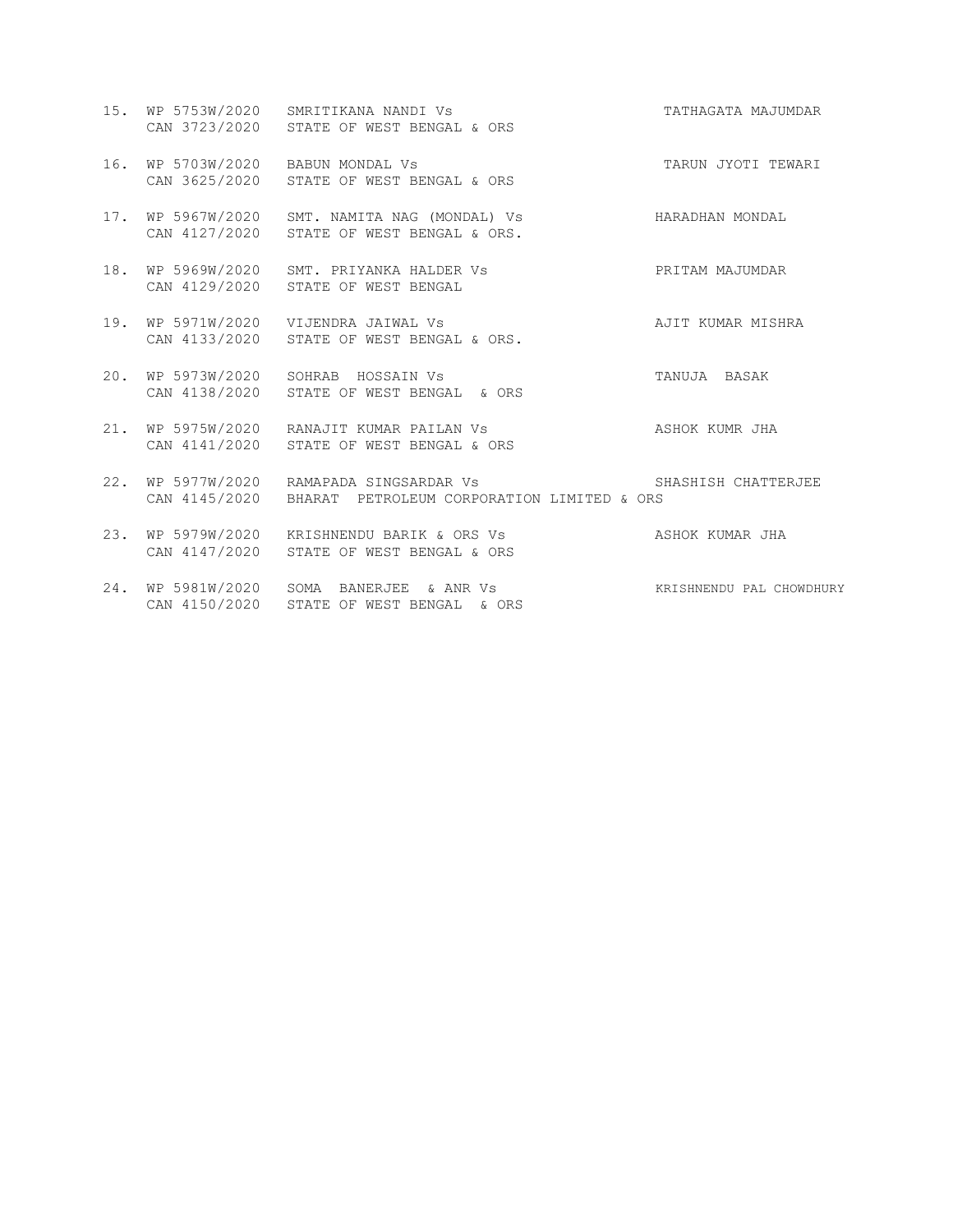- 15. WP 5753W/2020 SMRITIKANA NANDI Vs TATHAGATA MAJUMDAR CAN 3723/2020 STATE OF WEST BENGAL & ORS
- 16. WP 5703W/2020 BABUN MONDAL Vs TARUN JYOTI TEWARI CAN 3625/2020 STATE OF WEST BENGAL & ORS
- 17. WP 5967W/2020 SMT. NAMITA NAG (MONDAL) Vs HARADHAN MONDAL CAN 4127/2020 STATE OF WEST BENGAL & ORS.
- 18. WP 5969W/2020 SMT. PRIYANKA HALDER Vs PRITAM MAJUMDAR CAN 4129/2020 STATE OF WEST BENGAL
- 19. WP 5971W/2020 VIJENDRA JAIWAL Vs AJIT KUMAR MISHRA CAN 4133/2020 STATE OF WEST BENGAL & ORS.
- 20. WP 5973W/2020 SOHRAB HOSSAIN Vs TANUJA BASAK CAN 4138/2020 STATE OF WEST BENGAL & ORS
- 21. WP 5975W/2020 RANAJIT KUMAR PAILAN Vs **ASHOK KUMR** JHA CAN 4141/2020 STATE OF WEST BENGAL & ORS
- 22. WP 5977W/2020 RAMAPADA SINGSARDAR Vs SHASHISH CHATTERJEE CAN 4145/2020 BHARAT PETROLEUM CORPORATION LIMITED & ORS
- 23. WP 5979W/2020 KRISHNENDU BARIK & ORS Vs ASHOK KUMAR JHA CAN 4147/2020 STATE OF WEST BENGAL & ORS
- 24. WP 5981W/2020 SOMA BANERJEE & ANR Vs KRISHNENDU PAL CHOWDHURY CAN 4150/2020 STATE OF WEST BENGAL & ORS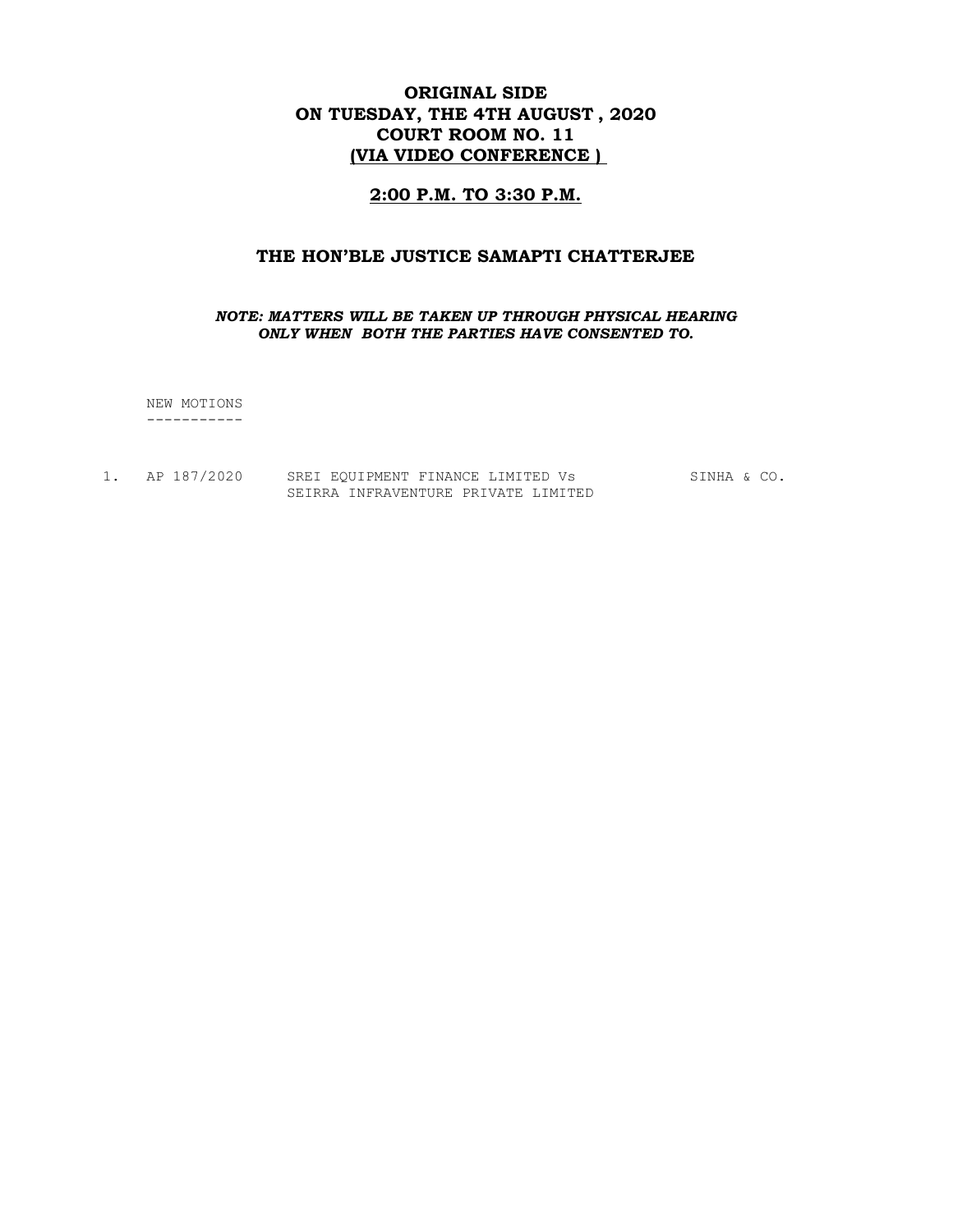# ORIGINAL SIDE ON TUESDAY, THE 4TH AUGUST , 2020 COURT ROOM NO. 11 (VIA VIDEO CONFERENCE )

## 2:00 P.M. TO 3:30 P.M.

### THE HON'BLE JUSTICE SAMAPTI CHATTERJEE

#### NOTE: MATTERS WILL BE TAKEN UP THROUGH PHYSICAL HEARING ONLY WHEN BOTH THE PARTIES HAVE CONSENTED TO.

 NEW MOTIONS -----------

1. AP 187/2020 SREI EQUIPMENT FINANCE LIMITED Vs SINHA & CO. SEIRRA INFRAVENTURE PRIVATE LIMITED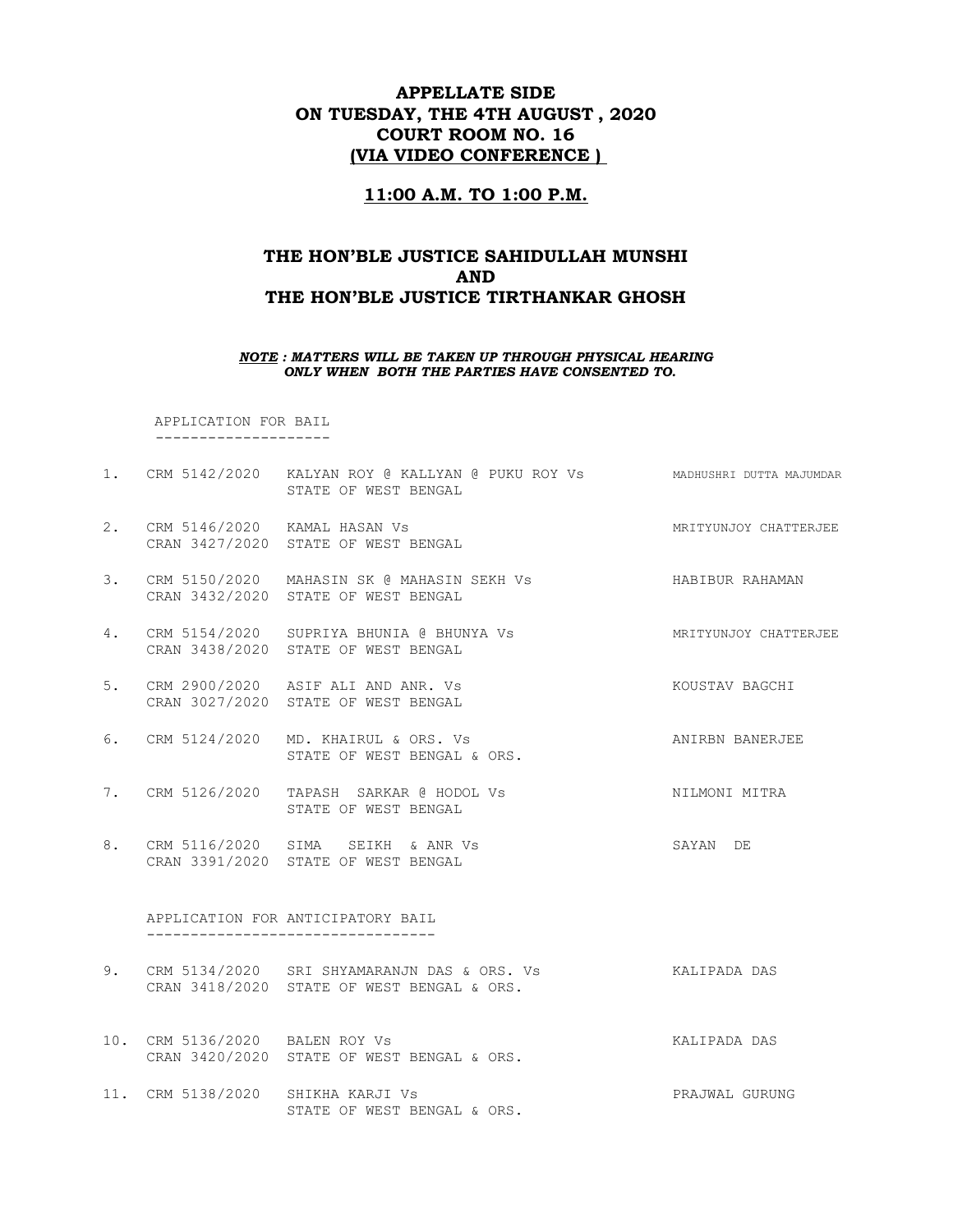# APPELLATE SIDE ON TUESDAY, THE 4TH AUGUST , 2020 COURT ROOM NO. 16 (VIA VIDEO CONFERENCE )

## 11:00 A.M. TO 1:00 P.M.

# THE HON'BLE JUSTICE SAHIDULLAH MUNSHI AND THE HON'BLE JUSTICE TIRTHANKAR GHOSH

#### NOTE : MATTERS WILL BE TAKEN UP THROUGH PHYSICAL HEARING ONLY WHEN BOTH THE PARTIES HAVE CONSENTED TO.

 APPLICATION FOR BAIL --------------------

- 1. CRM 5142/2020 KALYAN ROY @ KALLYAN @ PUKU ROY Vs MADHUSHRI DUTTA MAJUMDAR STATE OF WEST BENGAL
- 2. CRM 5146/2020 KAMAL HASAN Vs **MRITYUNG MARITYUN**JOY CHATTERJEE CRAN 3427/2020 STATE OF WEST BENGAL
- 3. CRM 5150/2020 MAHASIN SK @ MAHASIN SEKH Vs FRAMAL HABIBUR RAHAMAN CRAN 3432/2020 STATE OF WEST BENGAL
- 4. CRM 5154/2020 SUPRIYA BHUNIA @ BHUNYA Vs MRITYUNJOY CHATTERJEE CRAN 3438/2020 STATE OF WEST BENGAL
- 5. CRM 2900/2020 ASIF ALI AND ANR. Vs KOUSTAV BAGCHI CRAN 3027/2020 STATE OF WEST BENGAL
- 6. CRM 5124/2020 MD. KHAIRUL & ORS. Vs ANIRBN BANERJEE STATE OF WEST BENGAL & ORS.
- 7. CRM 5126/2020 TAPASH SARKAR @ HODOL Vs NILMONI MITRA STATE OF WEST BENGAL
- 8. CRM 5116/2020 SIMA SEIKH & ANR Vs SAYAN DE CRAN 3391/2020 STATE OF WEST BENGAL

#### APPLICATION FOR ANTICIPATORY BAIL ---------------------------------

- 9. CRM 5134/2020 SRI SHYAMARANJN DAS & ORS. Vs KALIPADA DAS CRAN 3418/2020 STATE OF WEST BENGAL & ORS.
- 10. CRM 5136/2020 BALEN ROY Vs KALIPADA DAS CRAN 3420/2020 STATE OF WEST BENGAL & ORS.
- 11. CRM 5138/2020 SHIKHA KARJI Vs PRAJWAL GURUNG STATE OF WEST BENGAL & ORS.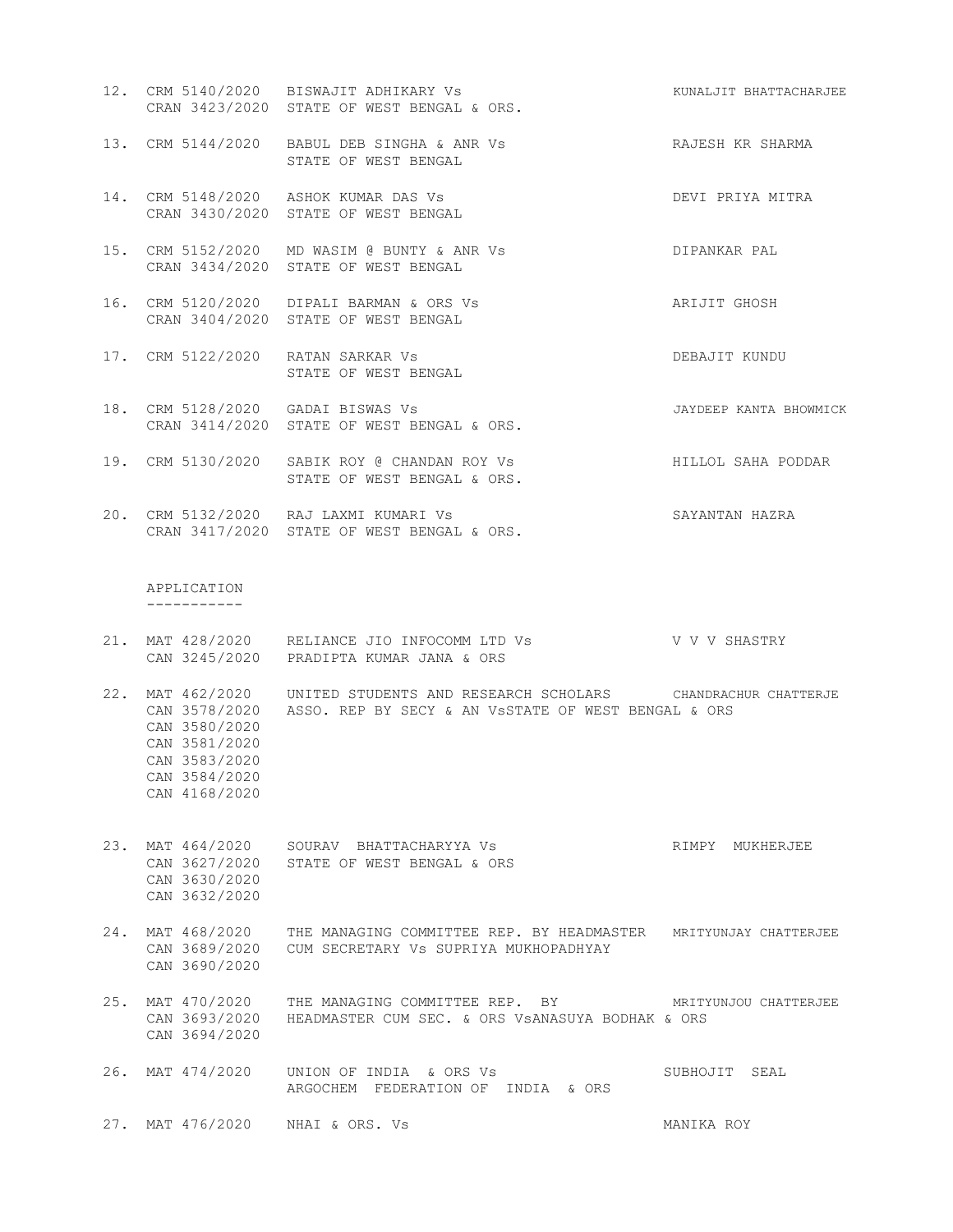- 12. CRM 5140/2020 BISWAJIT ADHIKARY Vs KUNALJIT BHATTACHARJEE CRAN 3423/2020 STATE OF WEST BENGAL & ORS.
- 13. CRM 5144/2020 BABUL DEB SINGHA & ANR Vs RAJESH KR SHARMA STATE OF WEST BENGAL
- 14. CRM 5148/2020 ASHOK KUMAR DAS Vs DEVI PRIYA MITRA CRAN 3430/2020 STATE OF WEST BENGAL
- 15. CRM 5152/2020 MD WASIM @ BUNTY & ANR Vs DIPANKAR PAL CRAN 3434/2020 STATE OF WEST BENGAL
- 16. CRM 5120/2020 DIPALI BARMAN & ORS Vs ARIJIT GHOSH CRAN 3404/2020 STATE OF WEST BENGAL
- 17. CRM 5122/2020 RATAN SARKAR Vs DEBAJIT KUNDU STATE OF WEST BENGAL
- 18. CRM 5128/2020 GADAI BISWAS Vs JAYDEEP KANTA BHOWMICK CRAN 3414/2020 STATE OF WEST BENGAL & ORS.
- 19. CRM 5130/2020 SABIK ROY @ CHANDAN ROY Vs HILLOL SAHA PODDAR STATE OF WEST BENGAL & ORS.
- 20. CRM 5132/2020 RAJ LAXMI KUMARI Vs SAYANTAN HAZRA CRAN 3417/2020 STATE OF WEST BENGAL & ORS.

 APPLICATION -----------

- 21. MAT 428/2020 RELIANCE JIO INFOCOMM LTD Vs V V V SHASTRY CAN 3245/2020 PRADIPTA KUMAR JANA & ORS
- 22. MAT 462/2020 UNITED STUDENTS AND RESEARCH SCHOLARS CHANDRACHUR CHATTERJE CAN 3578/2020 ASSO. REP BY SECY & AN VsSTATE OF WEST BENGAL & ORS CAN 3580/2020 CAN 3581/2020 CAN 3583/2020 CAN 3584/2020 CAN 4168/2020
- 23. MAT 464/2020 SOURAV BHATTACHARYYA Vs RIMPY MUKHERJEE CAN 3627/2020 STATE OF WEST BENGAL & ORS CAN 3630/2020 CAN 3632/2020
- 24. MAT 468/2020 THE MANAGING COMMITTEE REP. BY HEADMASTER MRITYUNJAY CHATTERJEE CAN 3689/2020 CUM SECRETARY Vs SUPRIYA MUKHOPADHYAY CAN 3690/2020
- 25. MAT 470/2020 THE MANAGING COMMITTEE REP. BY MRITYUNJOU CHATTERJEE CAN 3693/2020 HEADMASTER CUM SEC. & ORS VsANASUYA BODHAK & ORS CAN 3694/2020

26. MAT 474/2020 UNION OF INDIA & ORS Vs SUBHOJIT SEAL ARGOCHEM FEDERATION OF INDIA & ORS

27. MAT 476/2020 NHAI & ORS. Vs MANIKA ROY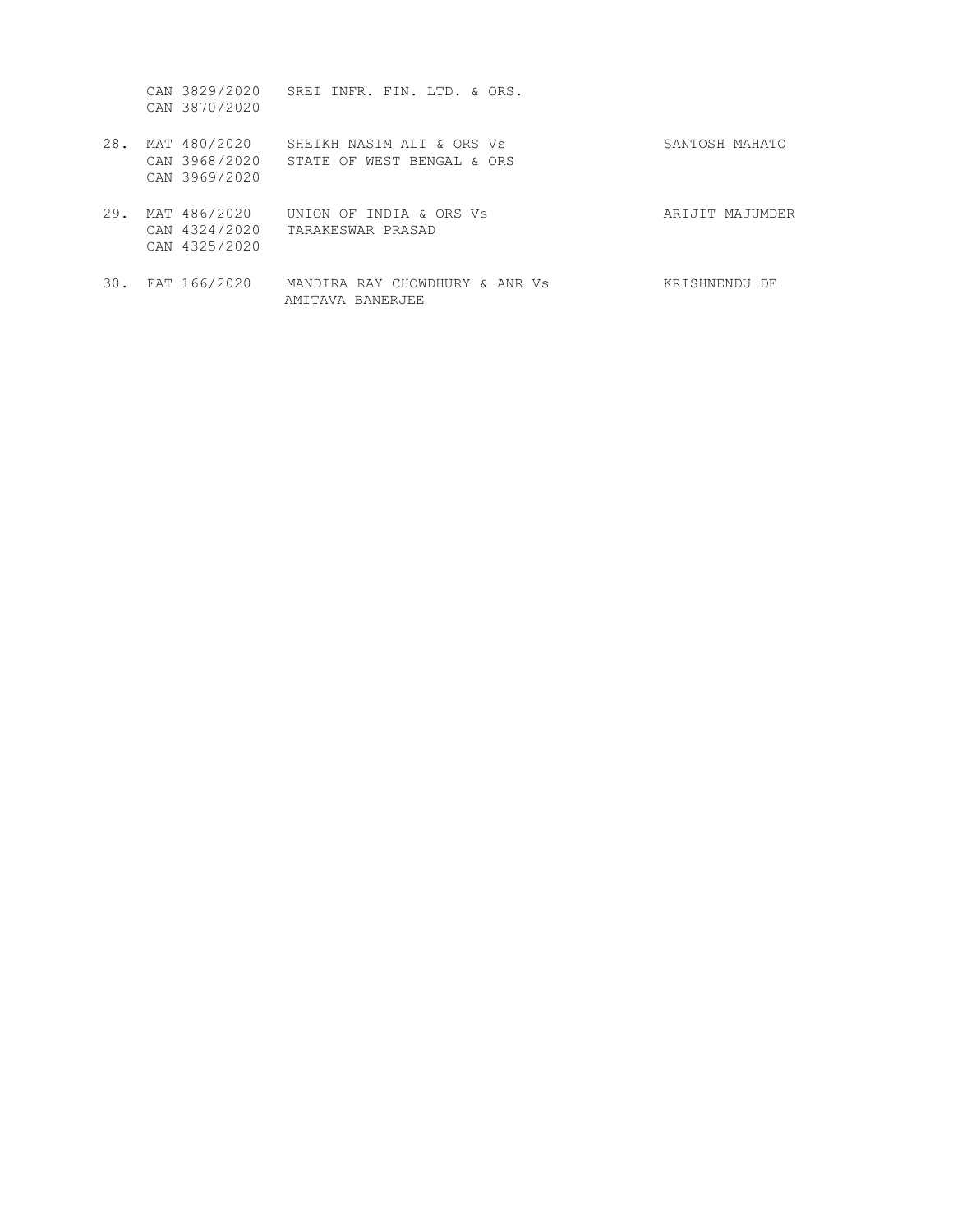CAN 3829/2020 SREI INFR. FIN. LTD. & ORS. CAN 3870/2020

- 28. MAT 480/2020 SHEIKH NASIM ALI & ORS Vs 28. MAT 480/2020 SHEIKH NASIM ALI & ORS Vs SANTOSH MAHATO CAN 3968/2020 STATE OF WEST BENGAL & ORS CAN 3969/2020
- 29. MAT 486/2020 UNION OF INDIA & ORS Vs ARIJIT MAJUMDER CAN 4324/2020 TARAKESWAR PRASAD CAN 4325/2020
- 30. FAT 166/2020 MANDIRA RAY CHOWDHURY & ANR Vs KRISHNENDU DE AMITAVA BANERJEE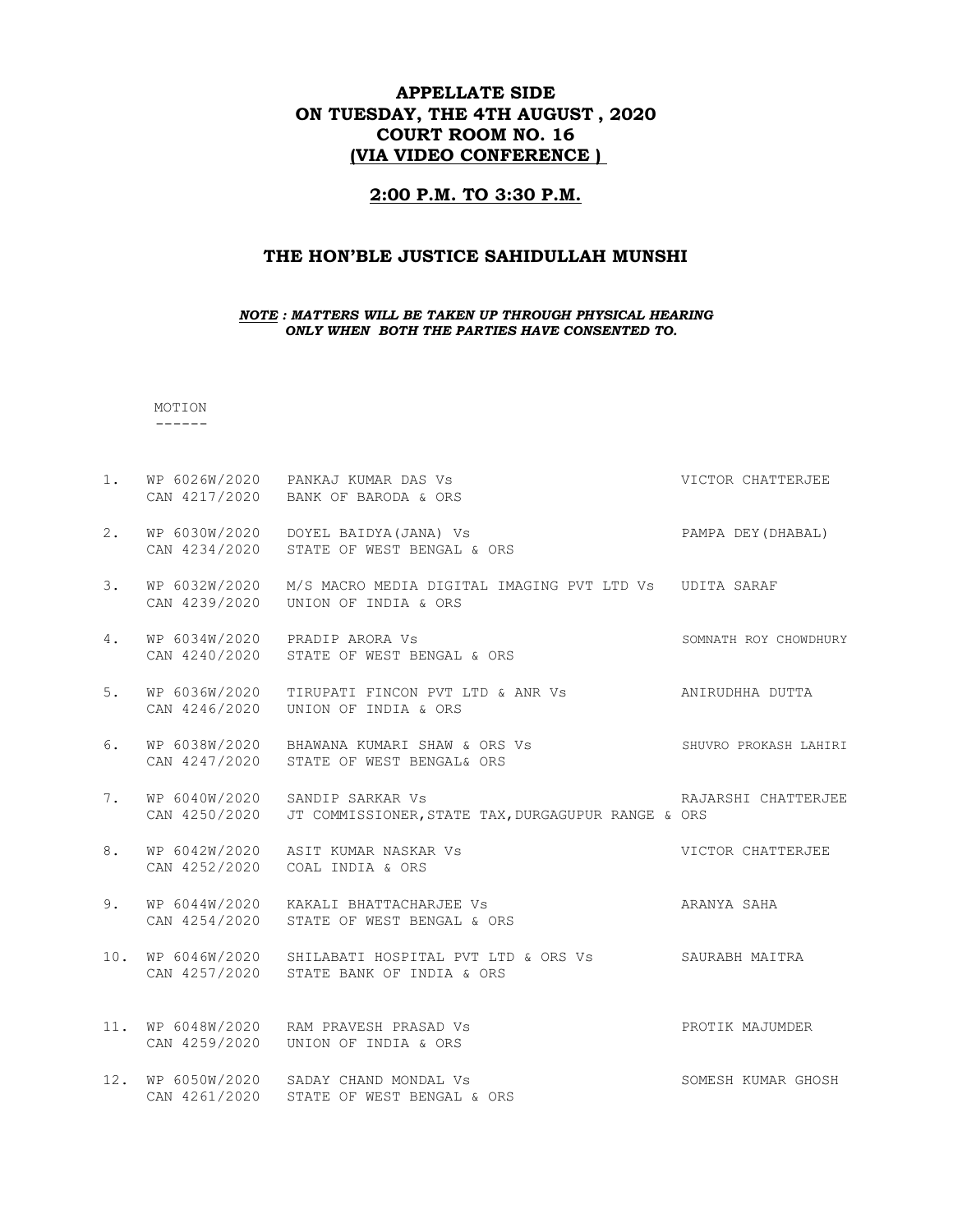# APPELLATE SIDE ON TUESDAY, THE 4TH AUGUST , 2020 COURT ROOM NO. 16 (VIA VIDEO CONFERENCE )

### 2:00 P.M. TO 3:30 P.M.

### THE HON'BLE JUSTICE SAHIDULLAH MUNSHI

NOTE : MATTERS WILL BE TAKEN UP THROUGH PHYSICAL HEARING ONLY WHEN BOTH THE PARTIES HAVE CONSENTED TO.

MOTION

------

1. WP 6026W/2020 PANKAJ KUMAR DAS Vs Sand Control of Matter Chatter Chatter Chatter of the Matter of American Chatter Chatter of the Victor Chatter of the Victor Chatter of the Victor Chatter of the Victor Chatter of the V CAN 4217/2020 BANK OF BARODA & ORS 2. WP 6030W/2020 DOYEL BAIDYA(JANA) Vs PAMPA DEY(DHABAL) CAN 4234/2020 STATE OF WEST BENGAL & ORS 3. WP 6032W/2020 M/S MACRO MEDIA DIGITAL IMAGING PVT LTD Vs UDITA SARAF CAN 4239/2020 UNION OF INDIA & ORS 4. WP 6034W/2020 PRADIP ARORA Vs SOMNATH ROY CHOWDHURY CAN 4240/2020 STATE OF WEST BENGAL & ORS 5. WP 6036W/2020 TIRUPATI FINCON PVT LTD & ANR Vs ANIRUDHHA DUTTA CAN 4246/2020 UNION OF INDIA & ORS 6. WP 6038W/2020 BHAWANA KUMARI SHAW & ORS Vs SHUVRO PROKASH LAHIRI CAN 4247/2020 STATE OF WEST BENGAL& ORS 7. WP 6040W/2020 SANDIP SARKAR Vs **RAJARSHI CHATTERJEE**  CAN 4250/2020 JT COMMISSIONER,STATE TAX,DURGAGUPUR RANGE & ORS 8. WP 6042W/2020 ASIT KUMAR NASKAR Vs Sand Control CHATTERJEE CAN 4252/2020 COAL INDIA & ORS 9. WP 6044W/2020 KAKALI BHATTACHARJEE Vs ARANYA SAHA CAN 4254/2020 STATE OF WEST BENGAL & ORS 10. WP 6046W/2020 SHILABATI HOSPITAL PVT LTD & ORS Vs SAURABH MAITRA CAN 4257/2020 STATE BANK OF INDIA & ORS 11. WP 6048W/2020 RAM PRAVESH PRASAD Vs PROTIK MAJUMDER CAN 4259/2020 UNION OF INDIA & ORS 12. WP 6050W/2020 SADAY CHAND MONDAL Vs SOMESH KUMAR GHOSH CAN 4261/2020 STATE OF WEST BENGAL & ORS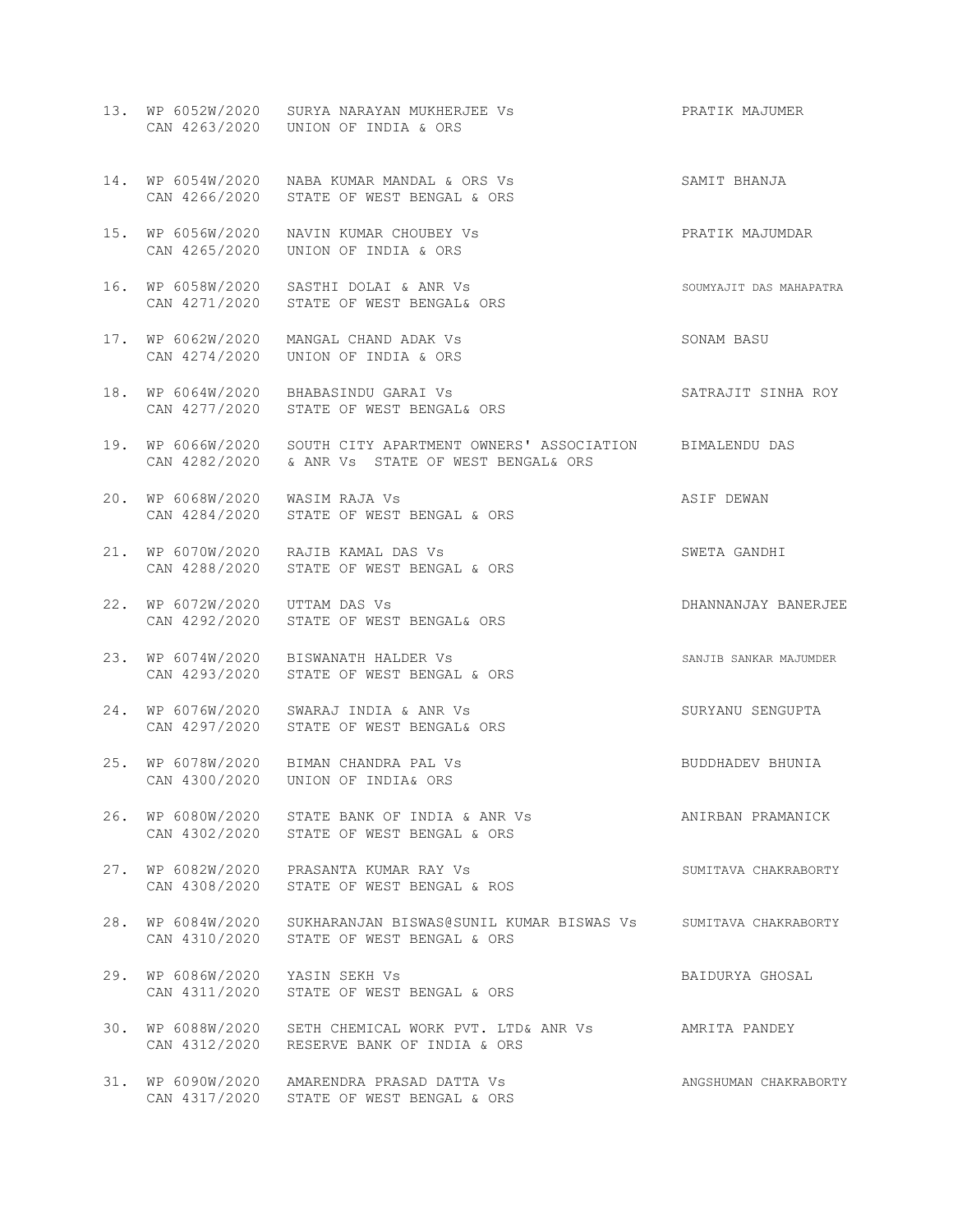|     |                                 | 13. WP 6052W/2020 SURYA NARAYAN MUKHERJEE Vs<br>CAN 4263/2020 UNION OF INDIA & ORS                                           | PRATIK MAJUMER          |
|-----|---------------------------------|------------------------------------------------------------------------------------------------------------------------------|-------------------------|
|     |                                 | 14. WP 6054W/2020 NABA KUMAR MANDAL & ORS Vs<br>CAN 4266/2020 STATE OF WEST BENGAL & ORS                                     | SAMIT BHANJA            |
|     |                                 | 15. WP 6056W/2020 NAVIN KUMAR CHOUBEY Vs<br>CAN 4265/2020 UNION OF INDIA & ORS                                               | PRATIK MAJUMDAR         |
|     |                                 | 16. WP 6058W/2020 SASTHI DOLAI & ANR Vs<br>CAN 4271/2020 STATE OF WEST BENGAL& ORS                                           | SOUMYAJIT DAS MAHAPATRA |
|     |                                 | 17. WP 6062W/2020 MANGAL CHAND ADAK Vs<br>CAN 4274/2020 UNION OF INDIA & ORS                                                 | SONAM BASU              |
|     |                                 | 18. WP 6064W/2020 BHABASINDU GARAI Vs<br>CAN 4277/2020 STATE OF WEST BENGAL& ORS                                             | SATRAJIT SINHA ROY      |
|     |                                 | 19. WP 6066W/2020 SOUTH CITY APARTMENT OWNERS' ASSOCIATION BIMALENDU DAS<br>CAN 4282/2020 & ANR Vs STATE OF WEST BENGAL& ORS |                         |
|     | 20. WP 6068W/2020 WASIM RAJA Vs | CAN 4284/2020 STATE OF WEST BENGAL & ORS                                                                                     | ASIF DEWAN              |
|     |                                 | 21. WP 6070W/2020 RAJIB KAMAL DAS Vs<br>CAN 4288/2020 STATE OF WEST BENGAL & ORS                                             | SWETA GANDHI            |
|     | 22. WP 6072W/2020 UTTAM DAS Vs  | CAN 4292/2020 STATE OF WEST BENGAL& ORS                                                                                      | DHANNANJAY BANERJEE     |
|     |                                 | 23. WP 6074W/2020 BISWANATH HALDER Vs<br>CAN 4293/2020 STATE OF WEST BENGAL & ORS                                            | SANJIB SANKAR MAJUMDER  |
| 24. |                                 | WP 6076W/2020 SWARAJ INDIA & ANR Vs<br>CAN 4297/2020 STATE OF WEST BENGAL& ORS                                               | SURYANU SENGUPTA        |
|     |                                 | 25. WP 6078W/2020 BIMAN CHANDRA PAL Vs<br>CAN 4300/2020 UNION OF INDIA& ORS                                                  | BUDDHADEV BHUNIA        |
|     |                                 | 26. WP 6080W/2020 STATE BANK OF INDIA & ANR Vs<br>CAN 4302/2020 STATE OF WEST BENGAL & ORS                                   | ANIRBAN PRAMANICK       |
|     |                                 | 27. WP 6082W/2020 PRASANTA KUMAR RAY Vs<br>CAN 4308/2020 STATE OF WEST BENGAL & ROS                                          | SUMITAVA CHAKRABORTY    |
| 28. |                                 | WP 6084W/2020 SUKHARANJAN BISWAS@SUNIL KUMAR BISWAS Vs SUMITAVA CHAKRABORTY<br>CAN 4310/2020 STATE OF WEST BENGAL & ORS      |                         |
|     | 29. WP 6086W/2020 YASIN SEKH Vs | CAN 4311/2020 STATE OF WEST BENGAL & ORS                                                                                     | BAIDURYA GHOSAL         |
|     |                                 | 30. WP 6088W/2020 SETH CHEMICAL WORK PVT. LTD& ANR VS AMRITA PANDEY<br>CAN 4312/2020 RESERVE BANK OF INDIA & ORS             |                         |
|     |                                 | 31. WP 6090W/2020 AMARENDRA PRASAD DATTA Vs<br>CAN 4317/2020 STATE OF WEST BENGAL & ORS                                      | ANGSHUMAN CHAKRABORTY   |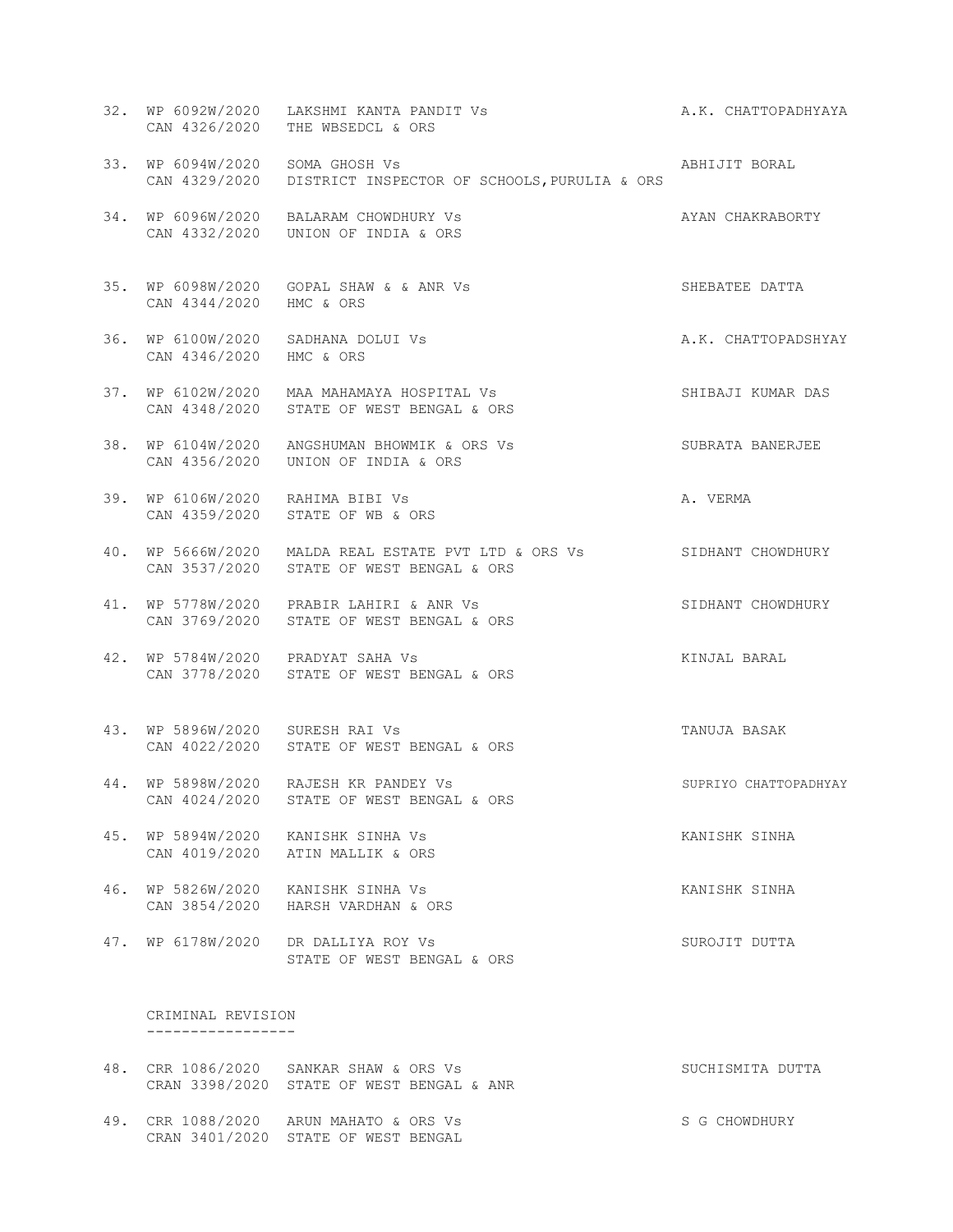|                                    | 32. WP 6092W/2020 LAKSHMI KANTA PANDIT Vs<br>CAN 4326/2020 THE WBSEDCL & ORS                                                     | A.K. CHATTOPADHYAYA   |
|------------------------------------|----------------------------------------------------------------------------------------------------------------------------------|-----------------------|
| 33. WP 6094W/2020 SOMA GHOSH Vs    | CAN 4329/2020 DISTRICT INSPECTOR OF SCHOOLS, PURULIA & ORS                                                                       | ABHIJIT BORAL         |
|                                    | AYAN CHAKRABORTY<br>34. WP 6096W/2020 BALARAM CHOWDHURY Vs<br>CAN 4332/2020    UNION OF INDIA & ORS                              |                       |
| CAN 4344/2020 HMC & ORS            | 35. WP 6098W/2020 GOPAL SHAW & & ANR Vs                                                                                          | SHEBATEE DATTA        |
| CAN 4346/2020 HMC & ORS            | 36. WP 6100W/2020 SADHANA DOLUI Vs                                                                                               | A.K. CHATTOPADSHYAY   |
|                                    | 37. WP 6102W/2020 MAA MAHAMAYA HOSPITAL Vs<br>CAN 4348/2020 STATE OF WEST BENGAL & ORS                                           | SHIBAJI KUMAR DAS     |
|                                    | 38. WP 6104W/2020 ANGSHUMAN BHOWMIK & ORS Vs<br>CAN 4356/2020 UNION OF INDIA & ORS                                               | SUBRATA BANERJEE      |
| 39. WP 6106W/2020 RAHIMA BIBI Vs   | CAN 4359/2020 STATE OF WB & ORS                                                                                                  | A. VERMA              |
|                                    | 40. WP 5666W/2020 MALDA REAL ESTATE PVT LTD & ORS Vs SIDHANT CHOWDHURY<br>CAN 3537/2020 STATE OF WEST BENGAL & ORS               |                       |
|                                    | 41. WP 5778W/2020 PRABIR LAHIRI & ANR VS<br>CAN 2769/2020 STATE OF WEST RENCAL 6 OBS<br>CAN 3769/2020 STATE OF WEST BENGAL & ORS | SIDHANT CHOWDHURY     |
|                                    | 42. WP 5784W/2020 PRADYAT SAHA Vs<br>CAN 3778/2020 STATE OF WEST BENGAL & ORS                                                    | KINJAL BARAL          |
| 43. WP 5896W/2020 SURESH RAI Vs    | CAN 4022/2020 STATE OF WEST BENGAL & ORS                                                                                         | TANUJA BASAK          |
|                                    | 44. WP 5898W/2020 RAJESH KR PANDEY Vs<br>CAN 4024/2020 STATE OF WEST BENGAL & ORS                                                | SUPRIYO CHATTOPADHYAY |
| 45. WP 5894W/2020                  | KANISHK SINHA Vs<br>CAN 4019/2020 ATIN MALLIK & ORS                                                                              | KANISHK SINHA         |
| 46. WP 5826W/2020<br>CAN 3854/2020 | KANISHK SINHA Vs<br>HARSH VARDHAN & ORS                                                                                          | KANISHK SINHA         |
| 47. WP 6178W/2020                  | DR DALLIYA ROY Vs<br>STATE OF WEST BENGAL & ORS                                                                                  | SUROJIT DUTTA         |
| CRIMINAL REVISION                  |                                                                                                                                  |                       |

- 48. CRR 1086/2020 SANKAR SHAW & ORS Vs SUCHISMITA DUTTA CRAN 3398/2020 STATE OF WEST BENGAL & ANR
- 49. CRR 1088/2020 ARUN MAHATO & ORS Vs SG CHOWDHURY CRAN 3401/2020 STATE OF WEST BENGAL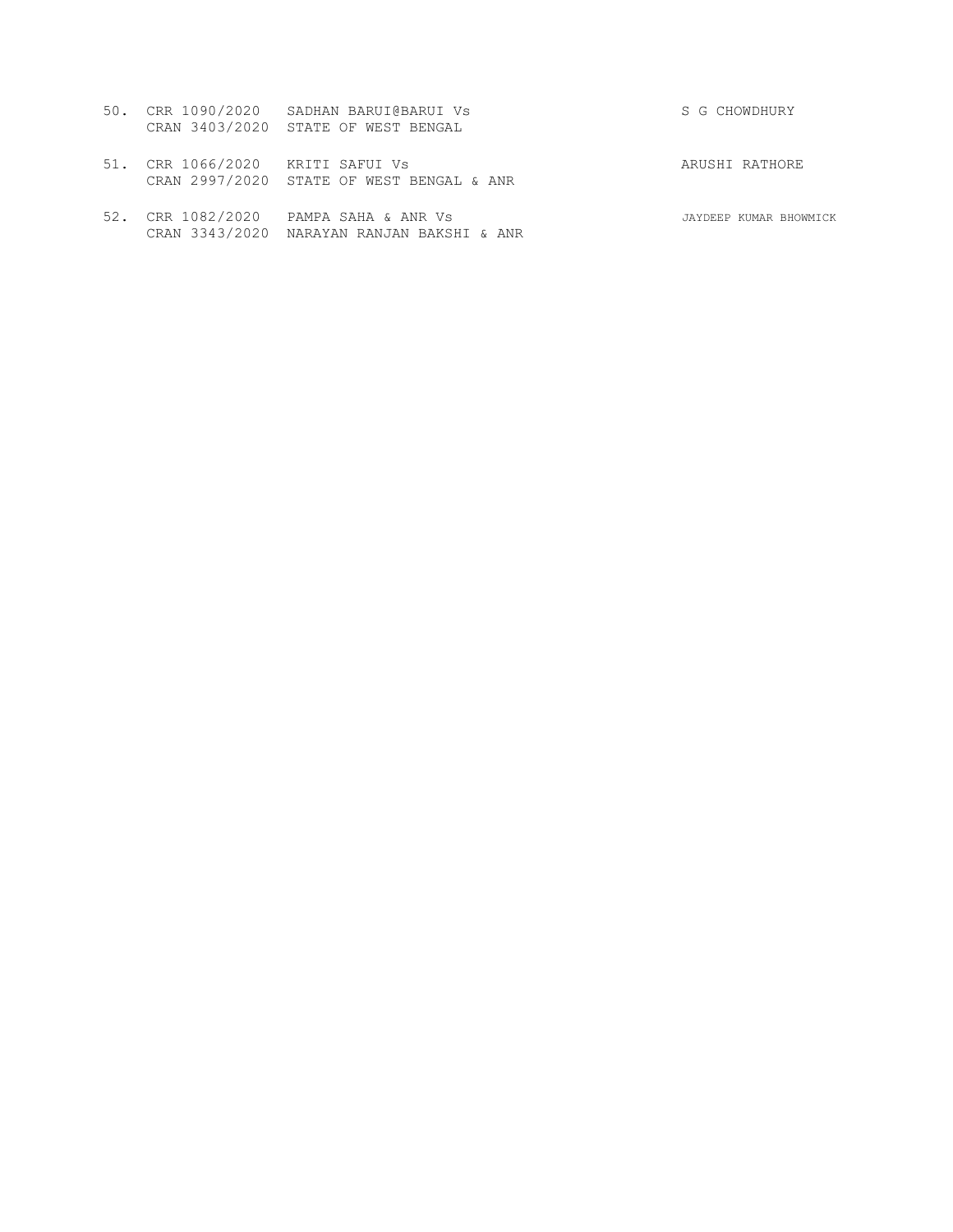|                                  | 50. CRR 1090/2020 SADHAN BARUI@BARUI Vs<br>CRAN 3403/2020 STATE OF WEST BENGAL | S G CHOWDHURY  |
|----------------------------------|--------------------------------------------------------------------------------|----------------|
| 51. CRR 1066/2020 KRITI SAFUI Vs | CRAN 2997/2020 STATE OF WEST BENGAL & ANR                                      | ARUSHI RATHORE |

52. CRR 1082/2020 PAMPA SAHA & ANR Vs JAYDEEP KUMAR BHOWMICK CRAN 3343/2020 NARAYAN RANJAN BAKSHI & ANR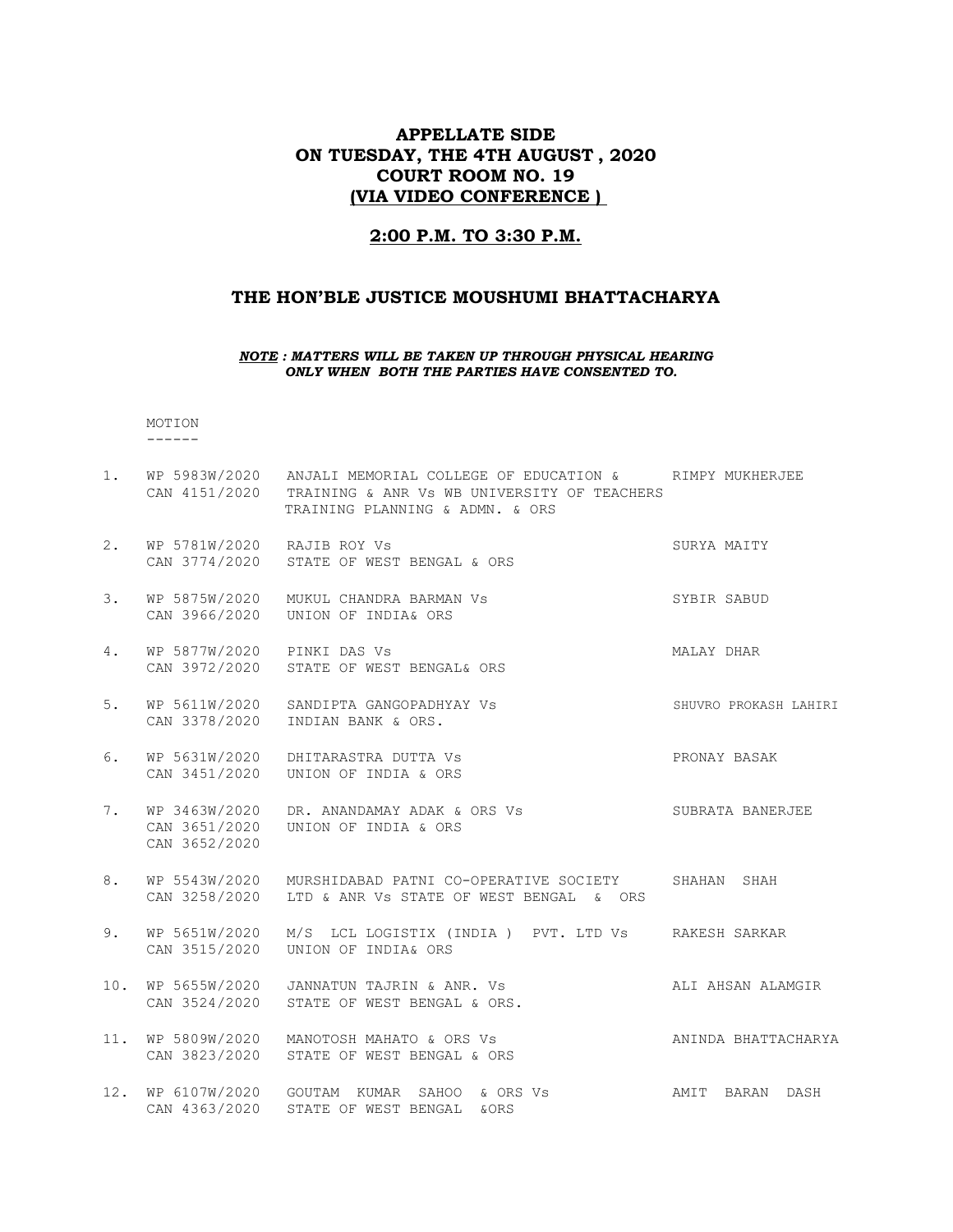## APPELLATE SIDE ON TUESDAY, THE 4TH AUGUST , 2020 COURT ROOM NO. 19 (VIA VIDEO CONFERENCE )

## 2:00 P.M. TO 3:30 P.M.

## THE HON'BLE JUSTICE MOUSHUMI BHATTACHARYA

#### NOTE : MATTERS WILL BE TAKEN UP THROUGH PHYSICAL HEARING ONLY WHEN BOTH THE PARTIES HAVE CONSENTED TO.

#### MOTION ------

1. WP 5983W/2020 ANJALI MEMORIAL COLLEGE OF EDUCATION & RIMPY MUKHERJEE CAN 4151/2020 TRAINING & ANR Vs WB UNIVERSITY OF TEACHERS TRAINING PLANNING & ADMN. & ORS 2. WP 5781W/2020 RAJIB ROY Vs SURYA MAITY CAN 3774/2020 STATE OF WEST BENGAL & ORS 3. WP 5875W/2020 MUKUL CHANDRA BARMAN Vs SYBIR SABUD CAN 3966/2020 UNION OF INDIA& ORS 4. WP 5877W/2020 PINKI DAS Vs MALAY DHAR CAN 3972/2020 STATE OF WEST BENGAL& ORS 5. WP 5611W/2020 SANDIPTA GANGOPADHYAY Vs SHUVRO PROKASH LAHIRI CAN 3378/2020 INDIAN BANK & ORS. 6. WP 5631W/2020 DHITARASTRA DUTTA Vs PRONAY BASAK CAN 3451/2020 UNION OF INDIA & ORS 7. WP 3463W/2020 DR. ANANDAMAY ADAK & ORS Vs SUBRATA BANERJEE CAN 3651/2020 UNION OF INDIA & ORS CAN 3652/2020 8. WP 5543W/2020 MURSHIDABAD PATNI CO-OPERATIVE SOCIETY SHAHAN SHAH CAN 3258/2020 LTD & ANR Vs STATE OF WEST BENGAL & ORS 9. WP 5651W/2020 M/S LCL LOGISTIX (INDIA ) PVT. LTD Vs RAKESH SARKAR CAN 3515/2020 UNION OF INDIA& ORS 10. WP 5655W/2020 JANNATUN TAJRIN & ANR. Vs ALI AHSAN ALAMGIR CAN 3524/2020 STATE OF WEST BENGAL & ORS. 11. WP 5809W/2020 MANOTOSH MAHATO & ORS Vs ANINDA BHATTACHARYA CAN 3823/2020 STATE OF WEST BENGAL & ORS 12. WP 6107W/2020 GOUTAM KUMAR SAHOO & ORS Vs AMIT BARAN DASH CAN 4363/2020 STATE OF WEST BENGAL &ORS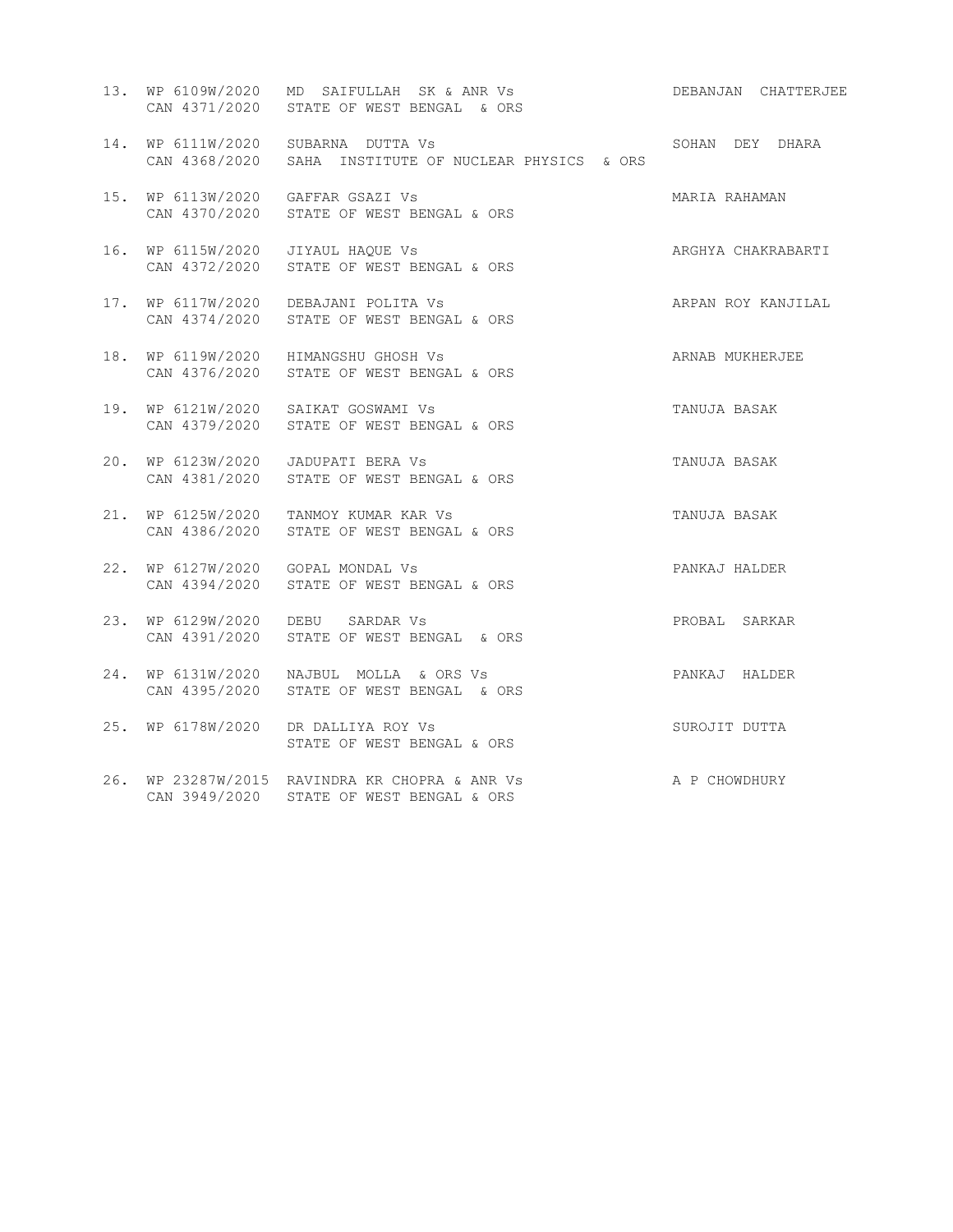|     | 13. WP 6109W/2020 MD SAIFULLAH SK & ANR Vs<br>CAN 4371/2020 STATE OF WEST BENGAL & ORS      | DEBANJAN CHATTERJEE |
|-----|---------------------------------------------------------------------------------------------|---------------------|
|     | 14. WP 6111W/2020 SUBARNA DUTTA Vs<br>CAN 4368/2020 SAHA INSTITUTE OF NUCLEAR PHYSICS & ORS | SOHAN DEY DHARA     |
| 15. | WP 6113W/2020 GAFFAR GSAZI Vs<br>CAN 4370/2020 STATE OF WEST BENGAL & ORS                   | MARIA RAHAMAN       |
| 16. | WP 6115W/2020 JIYAUL HAQUE Vs<br>CAN 4372/2020 STATE OF WEST BENGAL & ORS                   | ARGHYA CHAKRABARTI  |
| 17. | WP 6117W/2020 DEBAJANI POLITA Vs<br>CAN 4374/2020 STATE OF WEST BENGAL & ORS                | ARPAN ROY KANJILAL  |
| 18. | WP 6119W/2020 HIMANGSHU GHOSH Vs<br>CAN 4376/2020 STATE OF WEST BENGAL & ORS                | ARNAB MUKHERJEE     |
| 19. | WP 6121W/2020 SAIKAT GOSWAMI Vs<br>CAN 4379/2020 STATE OF WEST BENGAL & ORS                 | TANUJA BASAK        |
| 20. | WP 6123W/2020 JADUPATI BERA Vs<br>CAN 4381/2020 STATE OF WEST BENGAL & ORS                  | TANUJA BASAK        |
|     | 21. WP 6125W/2020 TANMOY KUMAR KAR Vs<br>CAN 4386/2020 STATE OF WEST BENGAL & ORS           | TANUJA BASAK        |
| 22. | WP 6127W/2020 GOPAL MONDAL Vs<br>CAN 4394/2020 STATE OF WEST BENGAL & ORS                   | PANKAJ HALDER       |
| 23. | WP 6129W/2020 DEBU SARDAR Vs<br>CAN 4391/2020 STATE OF WEST BENGAL & ORS                    | PROBAL SARKAR       |
| 24. | WP 6131W/2020  NAJBUL MOLLA & ORS Vs<br>CAN 4395/2020 STATE OF WEST BENGAL & ORS            | PANKAJ HALDER       |
| 25. | WP 6178W/2020 DR DALLIYA ROY Vs<br>STATE OF WEST BENGAL & ORS                               | SUROJIT DUTTA       |
|     | 26. WP 23287W/2015 RAVINDRA KR CHOPRA & ANR Vs<br>CAN 3949/2020 STATE OF WEST BENGAL & ORS  | A P CHOWDHURY       |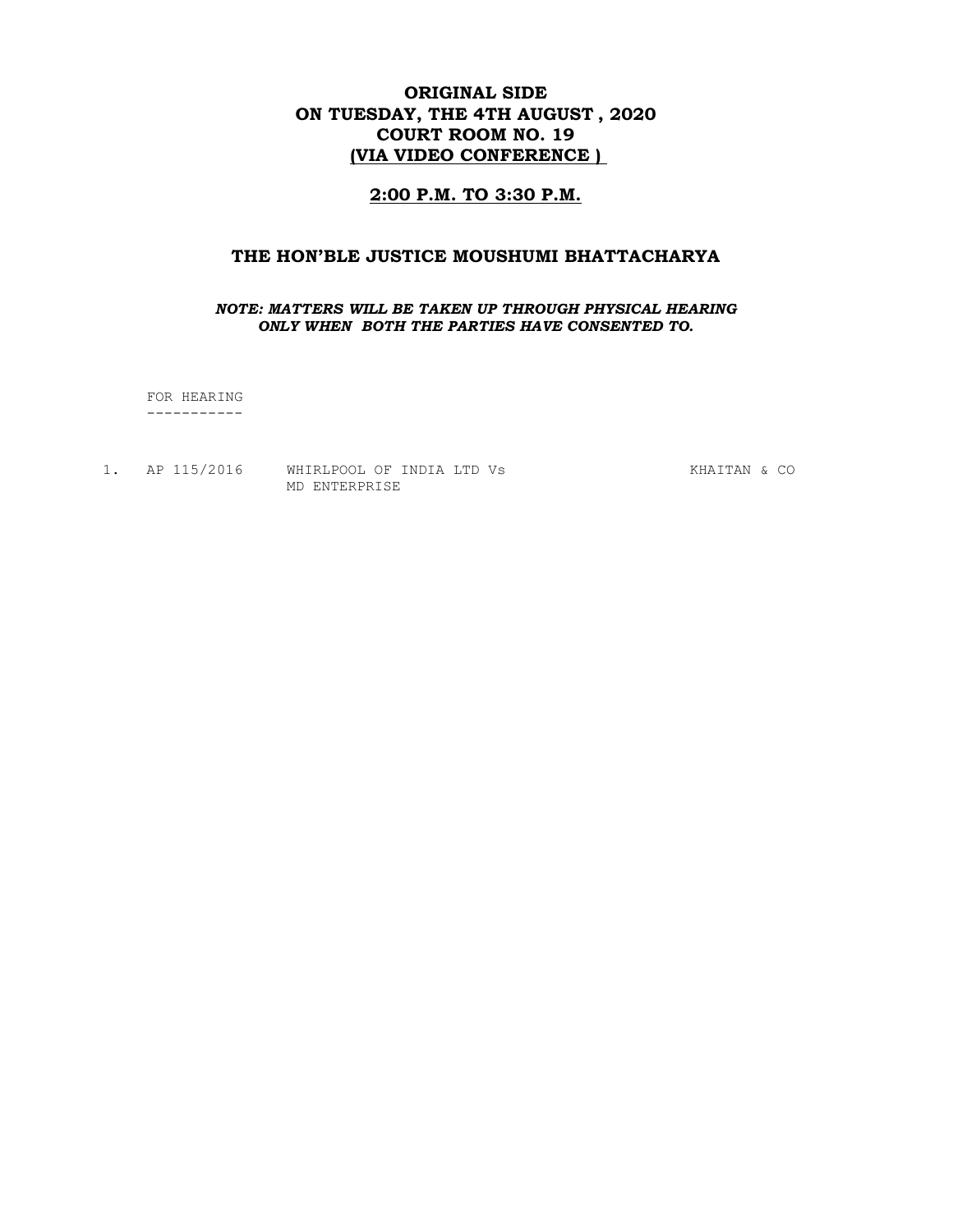# ORIGINAL SIDE ON TUESDAY, THE 4TH AUGUST , 2020 COURT ROOM NO. 19 (VIA VIDEO CONFERENCE )

## 2:00 P.M. TO 3:30 P.M.

## THE HON'BLE JUSTICE MOUSHUMI BHATTACHARYA

#### NOTE: MATTERS WILL BE TAKEN UP THROUGH PHYSICAL HEARING ONLY WHEN BOTH THE PARTIES HAVE CONSENTED TO.

 FOR HEARING -----------

1. AP 115/2016 WHIRLPOOL OF INDIA LTD Vs KHAITAN & CO MD ENTERPRISE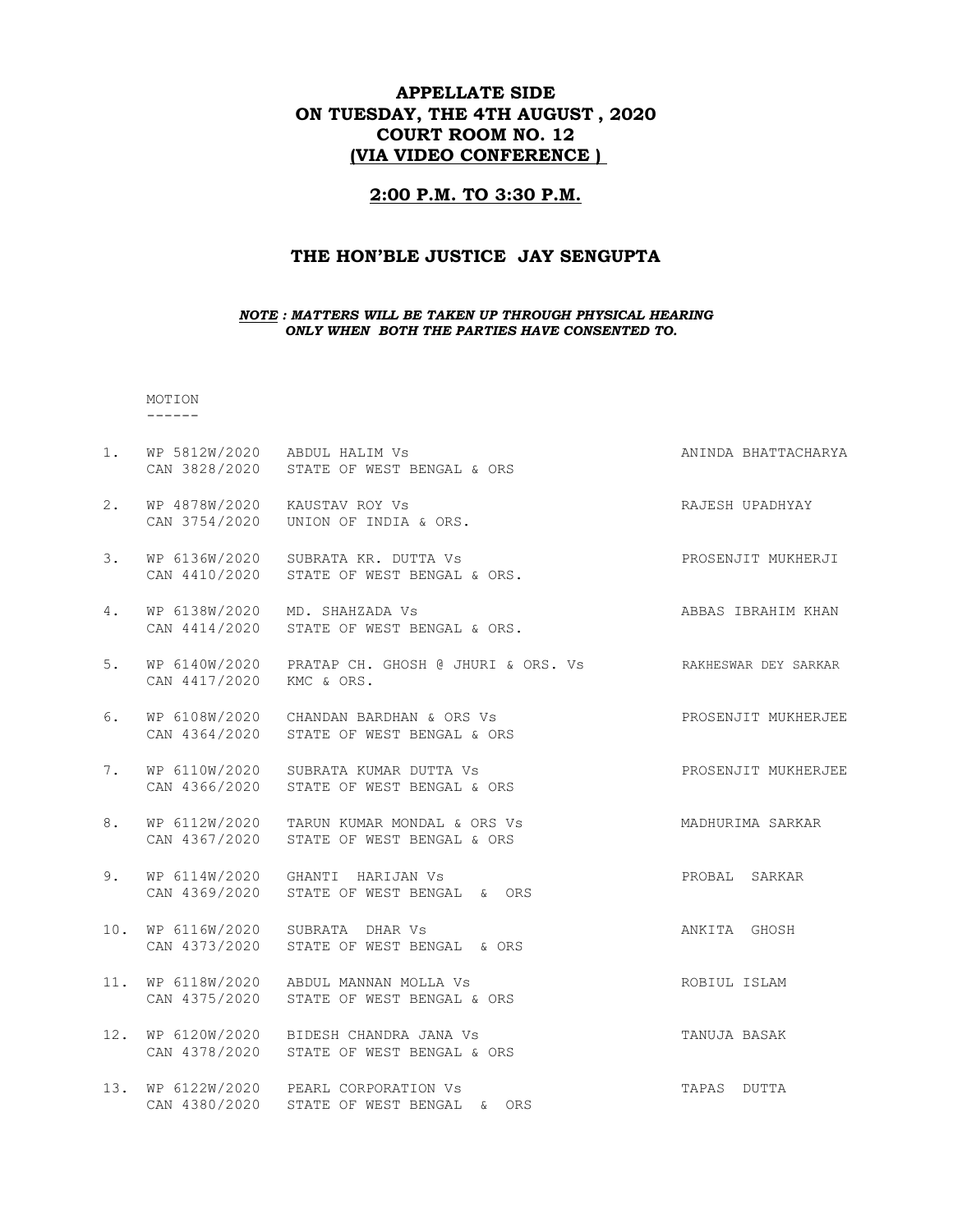# APPELLATE SIDE ON TUESDAY, THE 4TH AUGUST , 2020 COURT ROOM NO. 12 (VIA VIDEO CONFERENCE )

#### 2:00 P.M. TO 3:30 P.M.

## THE HON'BLE JUSTICE JAY SENGUPTA

#### NOTE : MATTERS WILL BE TAKEN UP THROUGH PHYSICAL HEARING ONLY WHEN BOTH THE PARTIES HAVE CONSENTED TO.

#### MOTION ------

1. WP 5812W/2020 ABDUL HALIM Vs **ANINDA BHATTACHARYA**  CAN 3828/2020 STATE OF WEST BENGAL & ORS 2. WP 4878W/2020 KAUSTAV ROY Vs **RAJESH UPADHYAY**  CAN 3754/2020 UNION OF INDIA & ORS. 3. WP 6136W/2020 SUBRATA KR. DUTTA Vs PROSENJIT MUKHERJI CAN 4410/2020 STATE OF WEST BENGAL & ORS. 4. WP 6138W/2020 MD. SHAHZADA Vs And American State of ABBAS IBRAHIM KHAN CAN 4414/2020 STATE OF WEST BENGAL & ORS. 5. WP 6140W/2020 PRATAP CH. GHOSH @ JHURI & ORS. Vs RAKHESWAR DEY SARKAR CAN 4417/2020 KMC & ORS. 6. WP 6108W/2020 CHANDAN BARDHAN & ORS Vs PROSENJIT MUKHERJEE CAN 4364/2020 STATE OF WEST BENGAL & ORS 7. WP 6110W/2020 SUBRATA KUMAR DUTTA Vs **PROSENJIT MUKHERJEE**  CAN 4366/2020 STATE OF WEST BENGAL & ORS 8. WP 6112W/2020 TARUN KUMAR MONDAL & ORS Vs MADHURIMA SARKAR CAN 4367/2020 STATE OF WEST BENGAL & ORS 9. WP 6114W/2020 GHANTI HARIJAN Vs PROBAL SARKAR CAN 4369/2020 STATE OF WEST BENGAL & ORS 10. WP 6116W/2020 SUBRATA DHAR Vs ANKITA GHOSH CAN 4373/2020 STATE OF WEST BENGAL & ORS 11. WP 6118W/2020 ABDUL MANNAN MOLLA Vs **ROBIUL ISLAM**  CAN 4375/2020 STATE OF WEST BENGAL & ORS 12. WP 6120W/2020 BIDESH CHANDRA JANA Vs TANUJA BASAK CAN 4378/2020 STATE OF WEST BENGAL & ORS 13. WP 6122W/2020 PEARL CORPORATION Vs TAPAS DUTTA CAN 4380/2020 STATE OF WEST BENGAL & ORS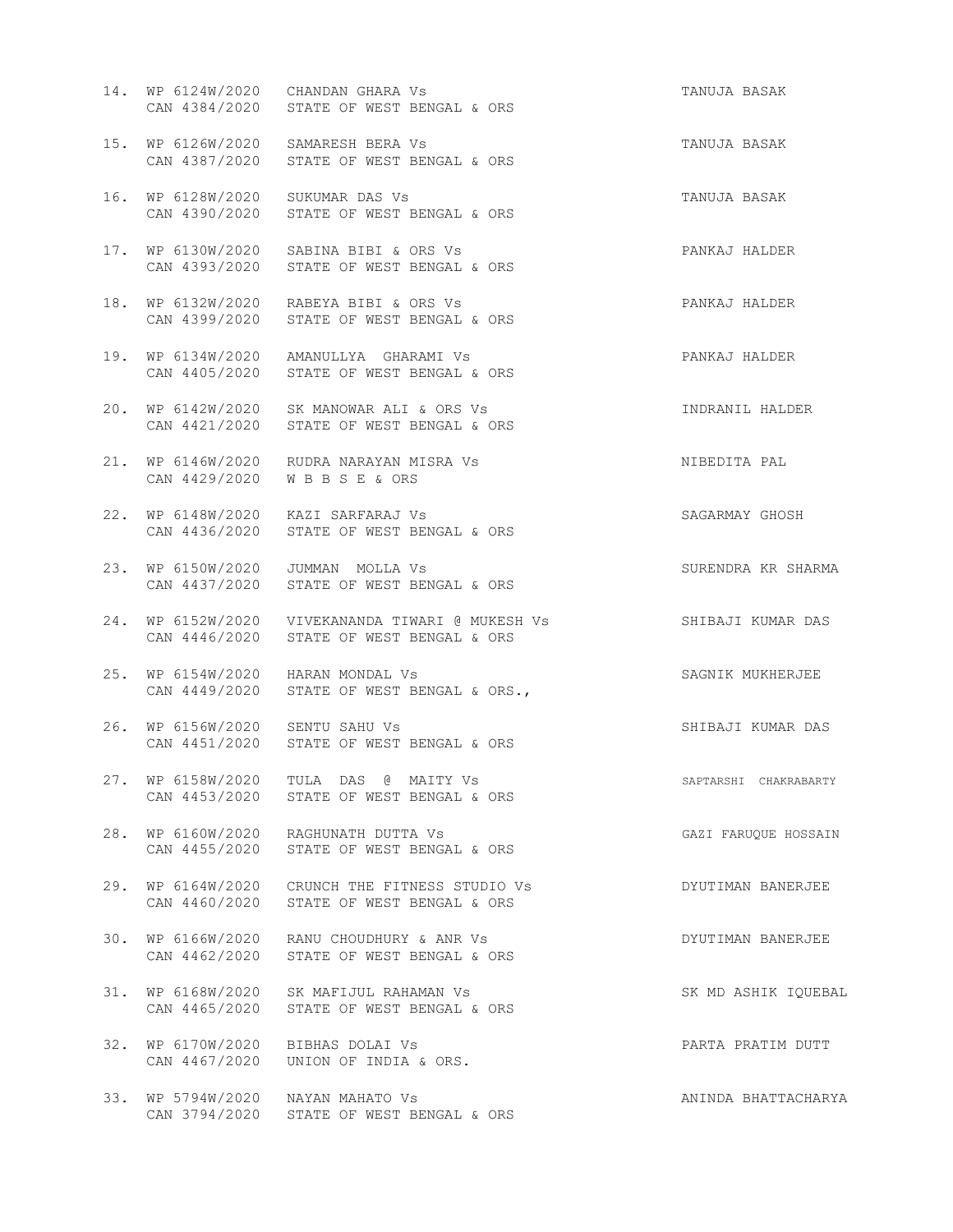|                                 | 14. WP 6124W/2020 CHANDAN GHARA Vs<br>CAN 4384/2020 STATE OF WEST BENGAL & ORS               | TANUJA BASAK          |
|---------------------------------|----------------------------------------------------------------------------------------------|-----------------------|
|                                 | 15. WP 6126W/2020 SAMARESH BERA Vs<br>CAN 4387/2020 STATE OF WEST BENGAL & ORS               | TANUJA BASAK          |
|                                 | 16. WP 6128W/2020 SUKUMAR DAS Vs<br>CAN 4390/2020 STATE OF WEST BENGAL & ORS                 | TANUJA BASAK          |
|                                 | 17. WP 6130W/2020 SABINA BIBI & ORS Vs<br>CAN 4393/2020 STATE OF WEST BENGAL & ORS           | PANKAJ HALDER         |
|                                 | 18. WP 6132W/2020 RABEYA BIBI & ORS Vs<br>CAN 4399/2020 STATE OF WEST BENGAL & ORS           | PANKAJ HALDER         |
|                                 | 19. WP 6134W/2020 AMANULLYA GHARAMI Vs<br>CAN 4405/2020 STATE OF WEST BENGAL & ORS           | PANKAJ HALDER         |
|                                 | 20. WP 6142W/2020 SK MANOWAR ALI & ORS Vs<br>CAN 4421/2020 STATE OF WEST BENGAL & ORS        | INDRANIL HALDER       |
|                                 | 21. WP 6146W/2020 RUDRA NARAYAN MISRA Vs<br>CAN 4429/2020 WBBSE & ORS                        | NIBEDITA PAL          |
|                                 | 22. WP 6148W/2020 KAZI SARFARAJ Vs<br>CAN 4436/2020 STATE OF WEST BENGAL & ORS               | SAGARMAY GHOSH        |
|                                 | 23. WP 6150W/2020 JUMMAN MOLLA Vs<br>CAN 4437/2020 STATE OF WEST BENGAL & ORS                | SURENDRA KR SHARMA    |
|                                 | 24. WP 6152W/2020 VIVEKANANDA TIWARI @ MUKESH Vs<br>CAN 4446/2020 STATE OF WEST BENGAL & ORS | SHIBAJI KUMAR DAS     |
|                                 | 25. WP 6154W/2020 HARAN MONDAL Vs<br>CAN 4449/2020 STATE OF WEST BENGAL & ORS.,              | SAGNIK MUKHERJEE      |
| 26. WP 6156W/2020 SENTU SAHU Vs | CAN 4451/2020 STATE OF WEST BENGAL & ORS                                                     | SHIBAJI KUMAR DAS     |
|                                 | 27. WP 6158W/2020 TULA DAS @ MAITY Vs<br>CAN 4453/2020 STATE OF WEST BENGAL & ORS            | SAPTARSHI CHAKRABARTY |
|                                 | 28. WP 6160W/2020 RAGHUNATH DUTTA Vs<br>CAN 4455/2020 STATE OF WEST BENGAL & ORS             | GAZI FARUQUE HOSSAIN  |
|                                 | 29. WP 6164W/2020 CRUNCH THE FITNESS STUDIO Vs<br>CAN 4460/2020 STATE OF WEST BENGAL & ORS   | DYUTIMAN BANERJEE     |
|                                 | 30. WP 6166W/2020 RANU CHOUDHURY & ANR Vs<br>CAN 4462/2020 STATE OF WEST BENGAL & ORS        | DYUTIMAN BANERJEE     |
|                                 | 31. WP 6168W/2020 SK MAFIJUL RAHAMAN Vs<br>CAN 4465/2020 STATE OF WEST BENGAL & ORS          | SK MD ASHIK IQUEBAL   |
|                                 | 32. WP 6170W/2020 BIBHAS DOLAI Vs<br>CAN 4467/2020 UNION OF INDIA & ORS.                     | PARTA PRATIM DUTT     |
|                                 | 33. WP 5794W/2020 NAYAN MAHATO Vs<br>CAN 3794/2020 STATE OF WEST BENGAL & ORS                | ANINDA BHATTACHARYA   |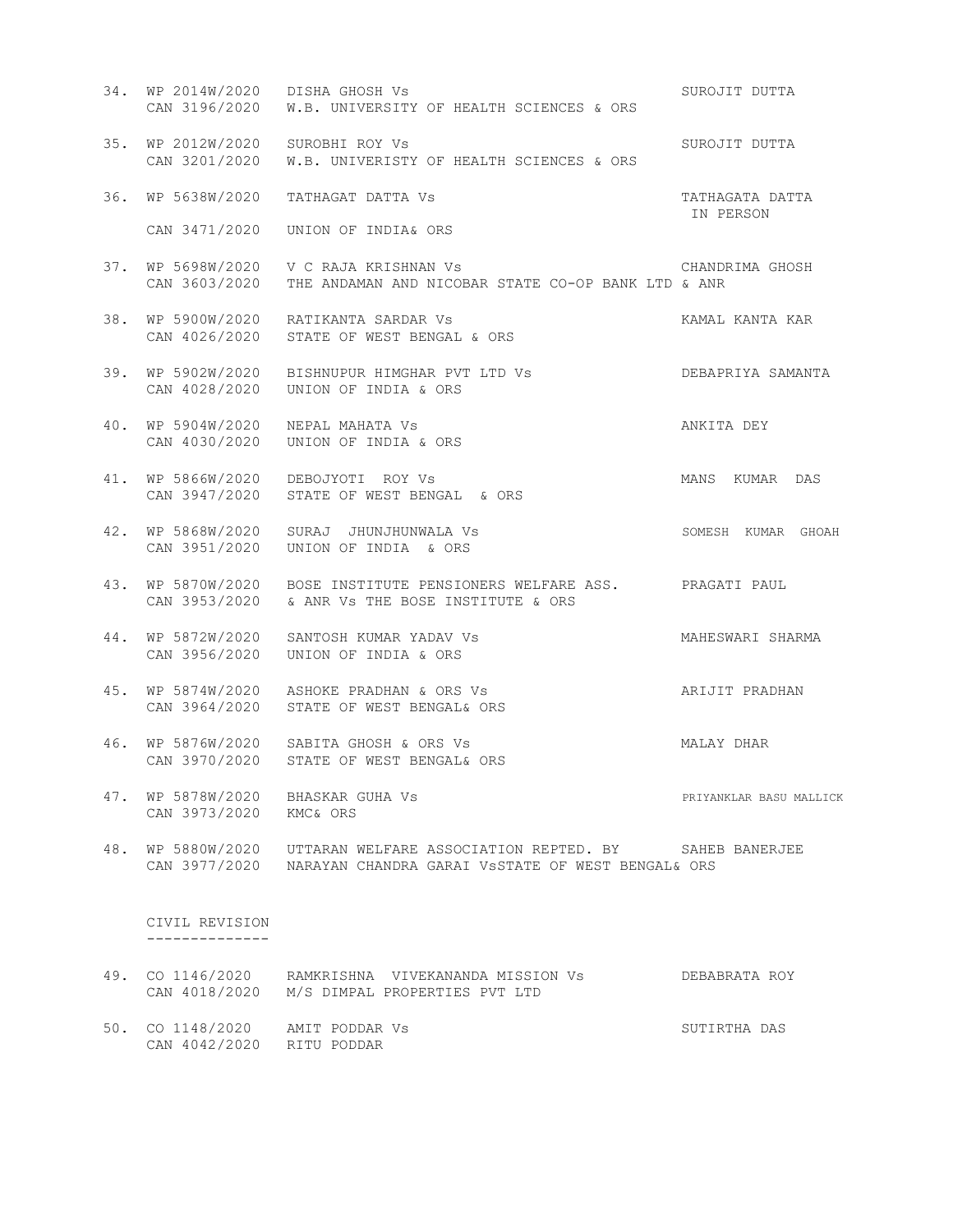- 34. WP 2014W/2020 DISHA GHOSH Vs SUROJIT DUTTA CAN 3196/2020 W.B. UNIVERSITY OF HEALTH SCIENCES & ORS 35. WP 2012W/2020 SUROBHI ROY Vs SUROUT SUROJIT DUTTA CAN 3201/2020 W.B. UNIVERISTY OF HEALTH SCIENCES & ORS 36. WP 5638W/2020 TATHAGAT DATTA Vs TATHAGATA DATTA IN PERSON CAN 3471/2020 UNION OF INDIA& ORS 37. WP 5698W/2020 V C RAJA KRISHNAN Vs CHANDRIMA GHOSH CAN 3603/2020 THE ANDAMAN AND NICOBAR STATE CO-OP BANK LTD & ANR 38. WP 5900W/2020 RATIKANTA SARDAR Vs **KAMAL KANTA KAR**  CAN 4026/2020 STATE OF WEST BENGAL & ORS 39. WP 5902W/2020 BISHNUPUR HIMGHAR PVT LTD Vs DEBAPRIYA SAMANTA CAN 4028/2020 UNION OF INDIA & ORS 40. WP 5904W/2020 NEPAL MAHATA Vs ANKITA DEY CAN 4030/2020 UNION OF INDIA & ORS 41. WP 5866W/2020 DEBOJYOTI ROY Vs MANS KUMAR DAS CAN 3947/2020 STATE OF WEST BENGAL & ORS 42. WP 5868W/2020 SURAJ JHUNJHUNWALA Vs SOMESH KUMAR GHOAH CAN 3951/2020 UNION OF INDIA & ORS 43. WP 5870W/2020 BOSE INSTITUTE PENSIONERS WELFARE ASS. PRAGATI PAUL CAN 3953/2020 & ANR Vs THE BOSE INSTITUTE & ORS 44. WP 5872W/2020 SANTOSH KUMAR YADAV Vs MAHESWARI SHARMA CAN 3956/2020 UNION OF INDIA & ORS 45. WP 5874W/2020 ASHOKE PRADHAN & ORS Vs ARIJIT PRADHAN CAN 3964/2020 STATE OF WEST BENGAL& ORS 46. WP 5876W/2020 SABITA GHOSH & ORS Vs MALAY DHAR CAN 3970/2020 STATE OF WEST BENGAL& ORS 47. WP 5878W/2020 BHASKAR GUHA Vs PRIYANKLAR BASU MALLICK CAN 3973/2020 KMC& ORS 48. WP 5880W/2020 UTTARAN WELFARE ASSOCIATION REPTED. BY SAHEB BANERJEE CAN 3977/2020 NARAYAN CHANDRA GARAI VsSTATE OF WEST BENGAL& ORS CIVIL REVISION -------------- 49. CO 1146/2020 RAMKRISHNA VIVEKANANDA MISSION Vs DEBABRATA ROY CAN 4018/2020 M/S DIMPAL PROPERTIES PVT LTD
- 50. CO 1148/2020 AMIT PODDAR Vs SUTIRTHA DAS CAN 4042/2020 RITU PODDAR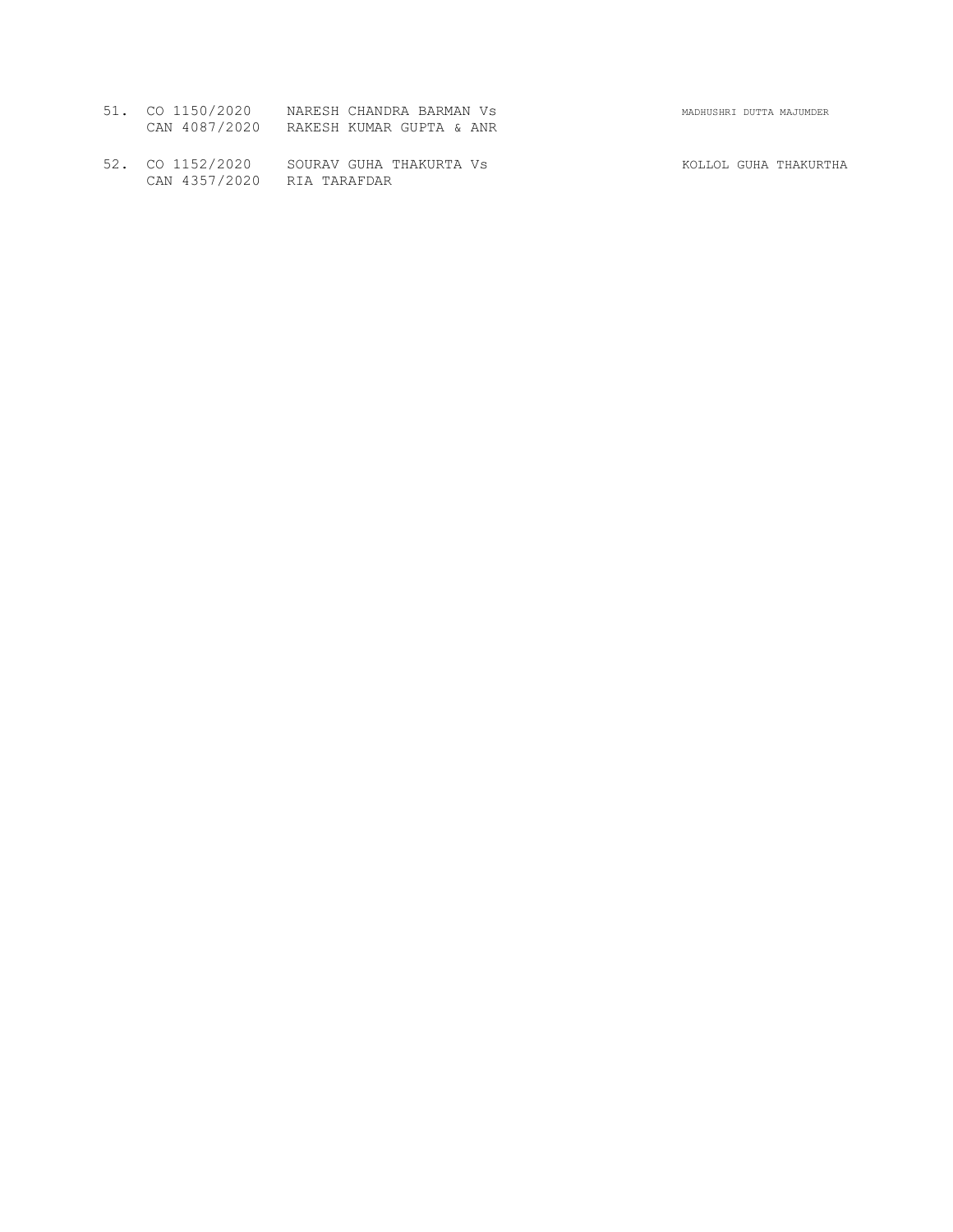| 51. CO 1150/2020 | NARESH CHANDRA BARMAN VS               | MADHUSHRI DUTTA MAJUMDER |
|------------------|----------------------------------------|--------------------------|
|                  | CAN 4087/2020 RAKESH KUMAR GUPTA & ANR |                          |

52. CO 1152/2020 SOURAV GUHA THAKURTA VS KOLLOL GUHA THAKURTHA CAN 4357/2020 RIA TARAFDAR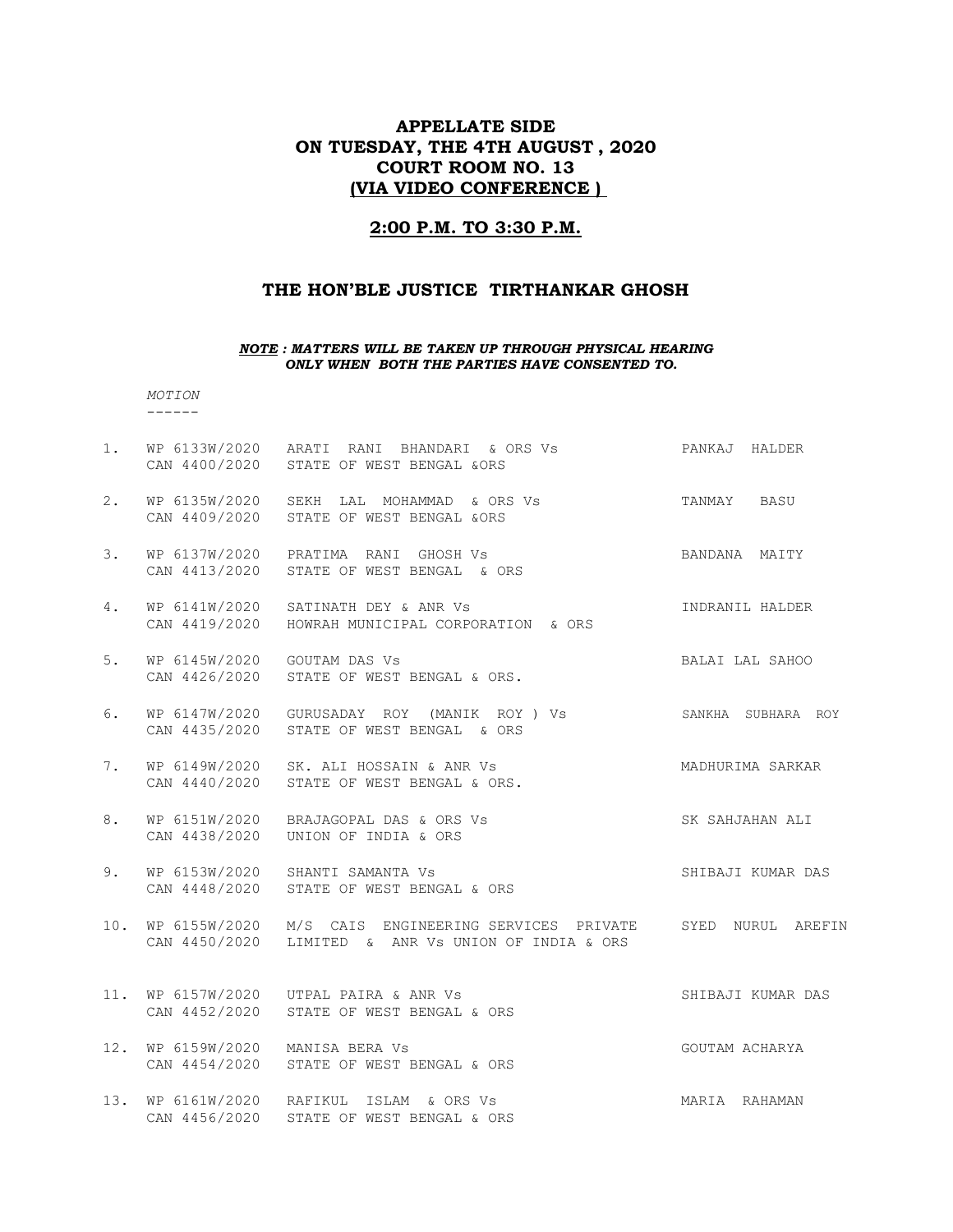# APPELLATE SIDE ON TUESDAY, THE 4TH AUGUST , 2020 COURT ROOM NO. 13 (VIA VIDEO CONFERENCE )

### 2:00 P.M. TO 3:30 P.M.

### THE HON'BLE JUSTICE TIRTHANKAR GHOSH

#### NOTE : MATTERS WILL BE TAKEN UP THROUGH PHYSICAL HEARING ONLY WHEN BOTH THE PARTIES HAVE CONSENTED TO.

 MOTION ------

1. WP 6133W/2020 ARATI RANI BHANDARI & ORS Vs PANKAJ HALDER CAN 4400/2020 STATE OF WEST BENGAL &ORS 2. WP 6135W/2020 SEKH LAL MOHAMMAD & ORS Vs TANMAY BASU CAN 4409/2020 STATE OF WEST BENGAL &ORS 3. WP 6137W/2020 PRATIMA RANI GHOSH Vs BANDANA MAITY CAN 4413/2020 STATE OF WEST BENGAL & ORS 4. WP 6141W/2020 SATINATH DEY & ANR Vs INDRANIL HALDER CAN 4419/2020 HOWRAH MUNICIPAL CORPORATION & ORS 5. WP 6145W/2020 GOUTAM DAS Vs SALAI LAL SAHOO CAN 4426/2020 STATE OF WEST BENGAL & ORS. 6. WP 6147W/2020 GURUSADAY ROY (MANIK ROY ) Vs SANKHA SUBHARA ROY CAN 4435/2020 STATE OF WEST BENGAL & ORS 7. WP 6149W/2020 SK. ALI HOSSAIN & ANR Vs MADHURIMA SARKAR CAN 4440/2020 STATE OF WEST BENGAL & ORS. 8. WP 6151W/2020 BRAJAGOPAL DAS & ORS Vs SK SAHJAHAN ALI CAN 4438/2020 UNION OF INDIA & ORS 9. WP 6153W/2020 SHANTI SAMANTA Vs SHIBAJI KUMAR DAS CAN 4448/2020 STATE OF WEST BENGAL & ORS 10. WP 6155W/2020 M/S CAIS ENGINEERING SERVICES PRIVATE SYED NURUL AREFIN CAN 4450/2020 LIMITED & ANR Vs UNION OF INDIA & ORS 11. WP 6157W/2020 UTPAL PAIRA & ANR Vs SHIBAJI KUMAR DAS CAN 4452/2020 STATE OF WEST BENGAL & ORS 12. WP 6159W/2020 MANISA BERA Vs GOUTAM ACHARYA CAN 4454/2020 STATE OF WEST BENGAL & ORS 13. WP 6161W/2020 RAFIKUL ISLAM & ORS Vs MARIA RAHAMAN CAN 4456/2020 STATE OF WEST BENGAL & ORS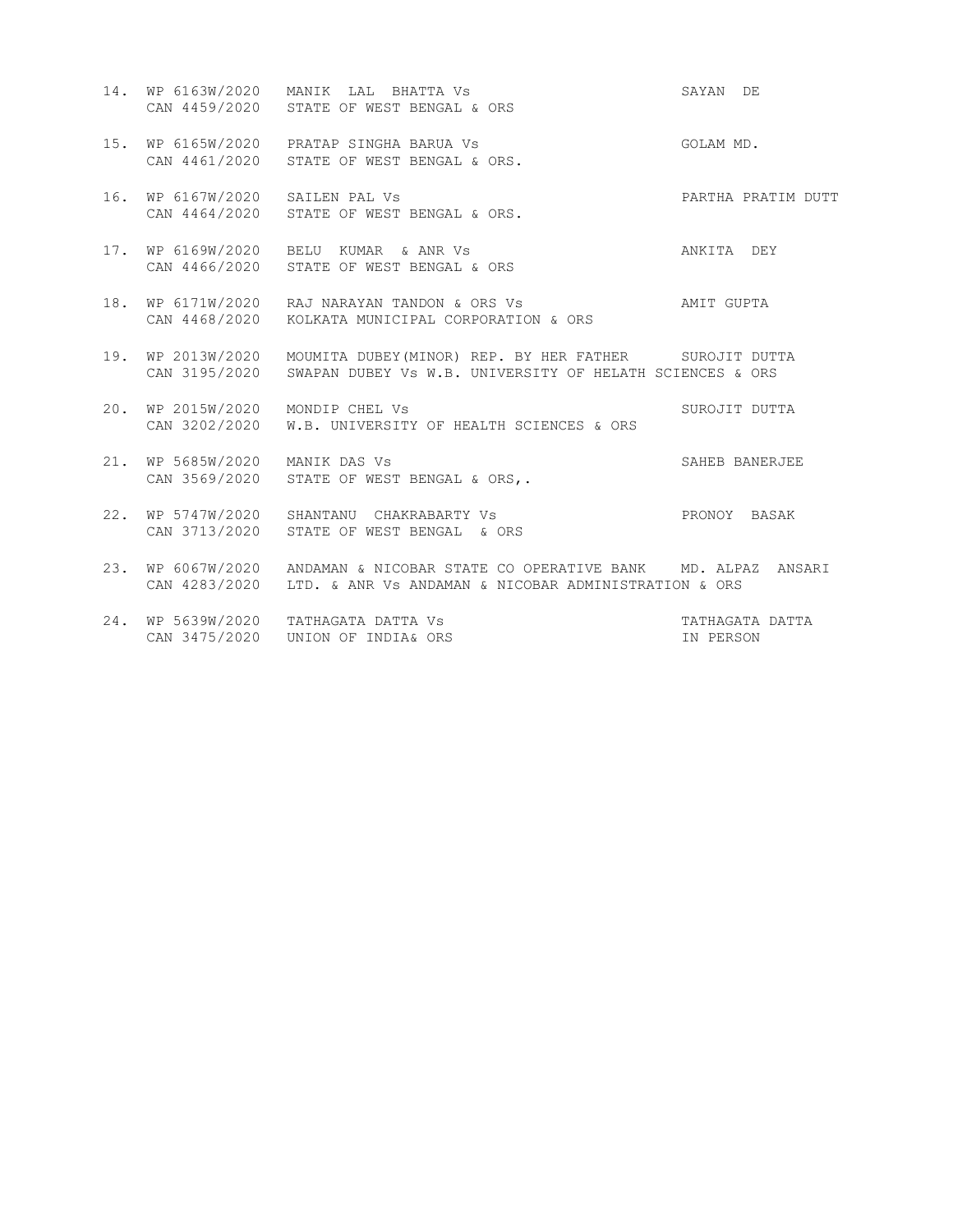- 14. WP 6163W/2020 MANIK LAL BHATTA Vs SAYAN DE CAN 4459/2020 STATE OF WEST BENGAL & ORS 15. WP 6165W/2020 PRATAP SINGHA BARUA Vs GOLAM MD. CAN 4461/2020 STATE OF WEST BENGAL & ORS.
- 16. WP 6167W/2020 SAILEN PAL Vs PARTHA PRATIM DUTT CAN 4464/2020 STATE OF WEST BENGAL & ORS.
- 17. WP 6169W/2020 BELU KUMAR & ANR Vs ANKITA DEY CAN 4466/2020 STATE OF WEST BENGAL & ORS
- 18. WP 6171W/2020 RAJ NARAYAN TANDON & ORS Vs AMIT GUPTA CAN 4468/2020 KOLKATA MUNICIPAL CORPORATION & ORS
- 19. WP 2013W/2020 MOUMITA DUBEY(MINOR) REP. BY HER FATHER SUROJIT DUTTA CAN 3195/2020 SWAPAN DUBEY Vs W.B. UNIVERSITY OF HELATH SCIENCES & ORS
- 20. WP 2015W/2020 MONDIP CHEL Vs SUROJIT DUTTA CAN 3202/2020 W.B. UNIVERSITY OF HEALTH SCIENCES & ORS
- 21. WP 5685W/2020 MANIK DAS Vs SAHEB BANERJEE CAN 3569/2020 STATE OF WEST BENGAL & ORS,.
- 22. WP 5747W/2020 SHANTANU CHAKRABARTY Vs PRONOY BASAK CAN 3713/2020 STATE OF WEST BENGAL & ORS
- 23. WP 6067W/2020 ANDAMAN & NICOBAR STATE CO OPERATIVE BANK MD. ALPAZ ANSARI CAN 4283/2020 LTD. & ANR Vs ANDAMAN & NICOBAR ADMINISTRATION & ORS
- 24. WP 5639W/2020 TATHAGATA DATTA Vs TATHAGATA DATTA CAN 3475/2020 UNION OF INDIA& ORS IN PERSON